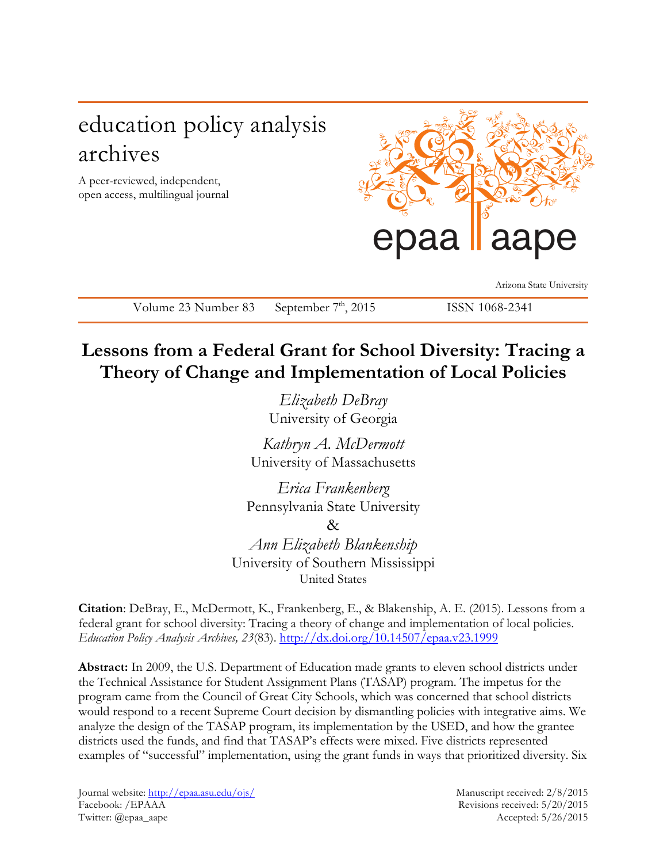# education policy analysis archives

A peer-reviewed, independent, open access, multilingual journal



Arizona State University

Volume 23 Number 83 September  $7<sup>th</sup>$ , 2015 ISSN 1068-2341

# **Lessons from a Federal Grant for School Diversity: Tracing a Theory of Change and Implementation of Local Policies**

*Elizabeth DeBray*  University of Georgia

*Kathryn A. McDermott* University of Massachusetts

*Erica Frankenberg* Pennsylvania State University &

*Ann Elizabeth Blankenship* University of Southern Mississippi United States

**Citation**: DeBray, E., McDermott, K., Frankenberg, E., & Blakenship, A. E. (2015). Lessons from a federal grant for school diversity: Tracing a theory of change and implementation of local policies. *Education Policy Analysis Archives, 23*(83). http://dx.doi.org/10.14507/epaa.v23.1999

**Abstract:** In 2009, the U.S. Department of Education made grants to eleven school districts under the Technical Assistance for Student Assignment Plans (TASAP) program. The impetus for the program came from the Council of Great City Schools, which was concerned that school districts would respond to a recent Supreme Court decision by dismantling policies with integrative aims. We analyze the design of the TASAP program, its implementation by the USED, and how the grantee districts used the funds, and find that TASAP's effects were mixed. Five districts represented examples of "successful" implementation, using the grant funds in ways that prioritized diversity. Six

Journal website: http://epaa.asu.edu/ojs/ Manuscript received: 2/8/2015 Facebook: /EPAAA Revisions received: 5/20/2015 Twitter: @epaa\_aape Accepted: 5/26/2015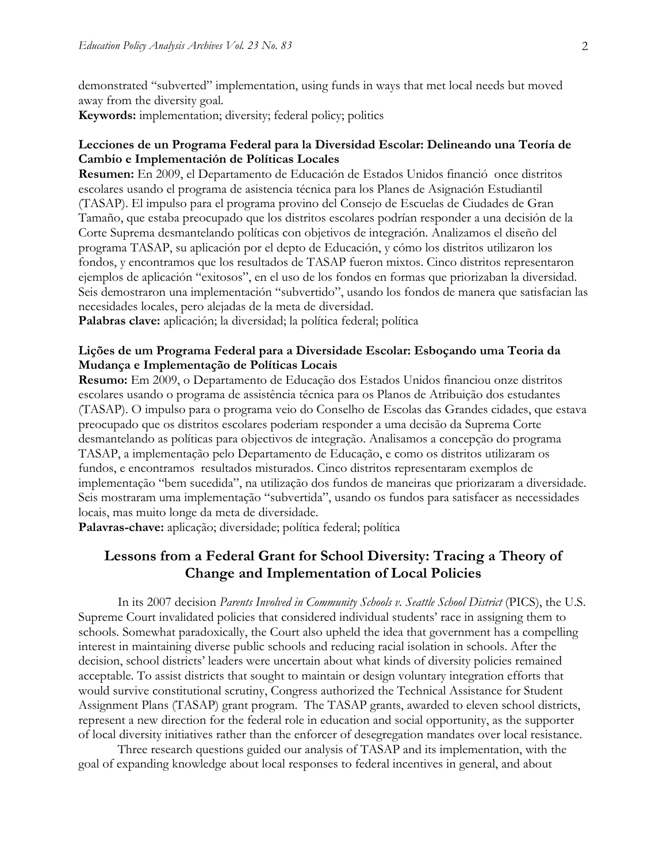demonstrated "subverted" implementation, using funds in ways that met local needs but moved away from the diversity goal.

**Keywords:** implementation; diversity; federal policy; politics

## **Lecciones de un Programa Federal para la Diversidad Escolar: Delineando una Teoría de Cambio e Implementación de Políticas Locales**

**Resumen:** En 2009, el Departamento de Educación de Estados Unidos financió once distritos escolares usando el programa de asistencia técnica para los Planes de Asignación Estudiantil (TASAP). El impulso para el programa provino del Consejo de Escuelas de Ciudades de Gran Tamaño, que estaba preocupado que los distritos escolares podrían responder a una decisión de la Corte Suprema desmantelando políticas con objetivos de integración. Analizamos el diseño del programa TASAP, su aplicación por el depto de Educación, y cómo los distritos utilizaron los fondos, y encontramos que los resultados de TASAP fueron mixtos. Cinco distritos representaron ejemplos de aplicación "exitosos", en el uso de los fondos en formas que priorizaban la diversidad. Seis demostraron una implementación "subvertido", usando los fondos de manera que satisfacian las necesidades locales, pero alejadas de la meta de diversidad.

**Palabras clave:** aplicación; la diversidad; la política federal; política

#### **Lições de um Programa Federal para a Diversidade Escolar: Esboçando uma Teoria da Mudança e Implementação de Políticas Locais**

**Resumo:** Em 2009, o Departamento de Educação dos Estados Unidos financiou onze distritos escolares usando o programa de assistência técnica para os Planos de Atribuição dos estudantes (TASAP). O impulso para o programa veio do Conselho de Escolas das Grandes cidades, que estava preocupado que os distritos escolares poderiam responder a uma decisão da Suprema Corte desmantelando as políticas para objectivos de integração. Analisamos a concepção do programa TASAP, a implementação pelo Departamento de Educação, e como os distritos utilizaram os fundos, e encontramos resultados misturados. Cinco distritos representaram exemplos de implementação "bem sucedida", na utilização dos fundos de maneiras que priorizaram a diversidade. Seis mostraram uma implementação "subvertida", usando os fundos para satisfacer as necessidades locais, mas muito longe da meta de diversidade.

**Palavras-chave:** aplicação; diversidade; política federal; política

## **Lessons from a Federal Grant for School Diversity: Tracing a Theory of Change and Implementation of Local Policies**

In its 2007 decision *Parents Involved in Community Schools v. Seattle School District* (PICS), the U.S. Supreme Court invalidated policies that considered individual students' race in assigning them to schools. Somewhat paradoxically, the Court also upheld the idea that government has a compelling interest in maintaining diverse public schools and reducing racial isolation in schools. After the decision, school districts' leaders were uncertain about what kinds of diversity policies remained acceptable. To assist districts that sought to maintain or design voluntary integration efforts that would survive constitutional scrutiny, Congress authorized the Technical Assistance for Student Assignment Plans (TASAP) grant program. The TASAP grants, awarded to eleven school districts, represent a new direction for the federal role in education and social opportunity, as the supporter of local diversity initiatives rather than the enforcer of desegregation mandates over local resistance.

Three research questions guided our analysis of TASAP and its implementation, with the goal of expanding knowledge about local responses to federal incentives in general, and about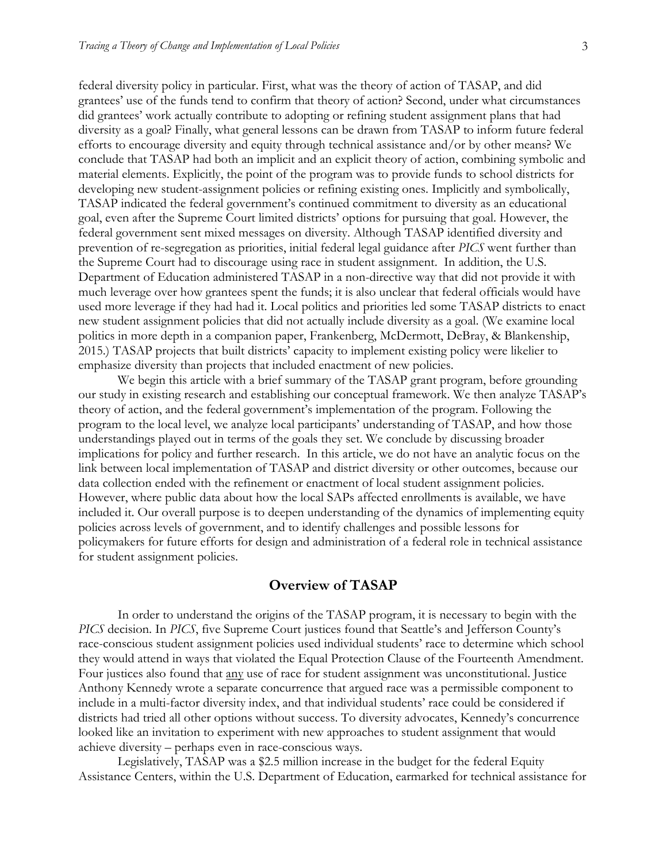federal diversity policy in particular. First, what was the theory of action of TASAP, and did grantees' use of the funds tend to confirm that theory of action? Second, under what circumstances did grantees' work actually contribute to adopting or refining student assignment plans that had diversity as a goal? Finally, what general lessons can be drawn from TASAP to inform future federal efforts to encourage diversity and equity through technical assistance and/or by other means? We conclude that TASAP had both an implicit and an explicit theory of action, combining symbolic and material elements. Explicitly, the point of the program was to provide funds to school districts for developing new student-assignment policies or refining existing ones. Implicitly and symbolically, TASAP indicated the federal government's continued commitment to diversity as an educational goal, even after the Supreme Court limited districts' options for pursuing that goal. However, the federal government sent mixed messages on diversity. Although TASAP identified diversity and prevention of re-segregation as priorities, initial federal legal guidance after *PICS* went further than the Supreme Court had to discourage using race in student assignment. In addition, the U.S. Department of Education administered TASAP in a non-directive way that did not provide it with much leverage over how grantees spent the funds; it is also unclear that federal officials would have used more leverage if they had had it. Local politics and priorities led some TASAP districts to enact new student assignment policies that did not actually include diversity as a goal. (We examine local politics in more depth in a companion paper, Frankenberg, McDermott, DeBray, & Blankenship, 2015.) TASAP projects that built districts' capacity to implement existing policy were likelier to emphasize diversity than projects that included enactment of new policies.

We begin this article with a brief summary of the TASAP grant program, before grounding our study in existing research and establishing our conceptual framework. We then analyze TASAP's theory of action, and the federal government's implementation of the program. Following the program to the local level, we analyze local participants' understanding of TASAP, and how those understandings played out in terms of the goals they set. We conclude by discussing broader implications for policy and further research. In this article, we do not have an analytic focus on the link between local implementation of TASAP and district diversity or other outcomes, because our data collection ended with the refinement or enactment of local student assignment policies. However, where public data about how the local SAPs affected enrollments is available, we have included it. Our overall purpose is to deepen understanding of the dynamics of implementing equity policies across levels of government, and to identify challenges and possible lessons for policymakers for future efforts for design and administration of a federal role in technical assistance for student assignment policies.

## **Overview of TASAP**

In order to understand the origins of the TASAP program, it is necessary to begin with the *PICS* decision. In *PICS*, five Supreme Court justices found that Seattle's and Jefferson County's race-conscious student assignment policies used individual students' race to determine which school they would attend in ways that violated the Equal Protection Clause of the Fourteenth Amendment. Four justices also found that any use of race for student assignment was unconstitutional. Justice Anthony Kennedy wrote a separate concurrence that argued race was a permissible component to include in a multi-factor diversity index, and that individual students' race could be considered if districts had tried all other options without success. To diversity advocates, Kennedy's concurrence looked like an invitation to experiment with new approaches to student assignment that would achieve diversity – perhaps even in race-conscious ways.

Legislatively, TASAP was a \$2.5 million increase in the budget for the federal Equity Assistance Centers, within the U.S. Department of Education, earmarked for technical assistance for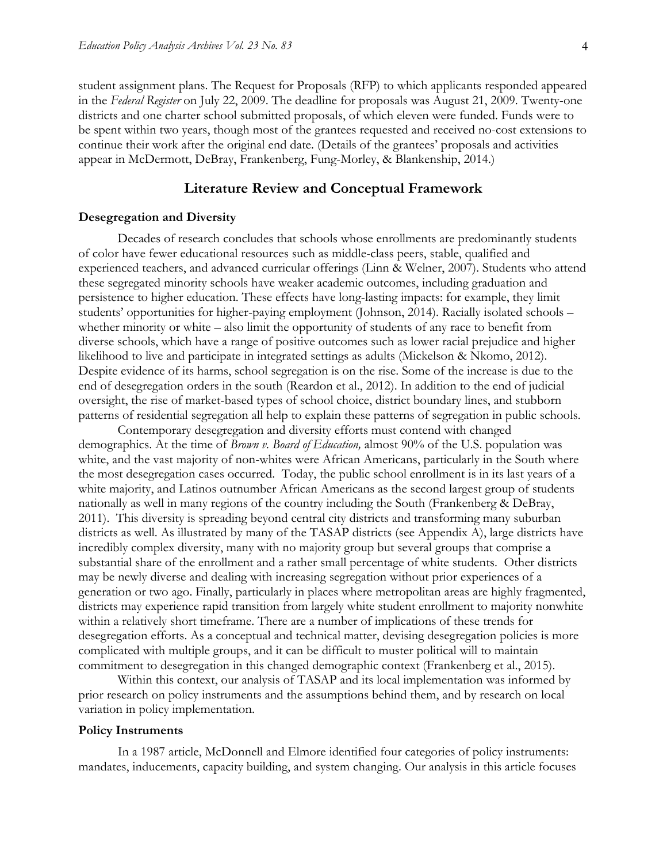student assignment plans. The Request for Proposals (RFP) to which applicants responded appeared in the *Federal Register* on July 22, 2009. The deadline for proposals was August 21, 2009. Twenty-one districts and one charter school submitted proposals, of which eleven were funded. Funds were to be spent within two years, though most of the grantees requested and received no-cost extensions to continue their work after the original end date. (Details of the grantees' proposals and activities appear in McDermott, DeBray, Frankenberg, Fung-Morley, & Blankenship, 2014.)

#### **Literature Review and Conceptual Framework**

#### **Desegregation and Diversity**

Decades of research concludes that schools whose enrollments are predominantly students of color have fewer educational resources such as middle-class peers, stable, qualified and experienced teachers, and advanced curricular offerings (Linn & Welner, 2007). Students who attend these segregated minority schools have weaker academic outcomes, including graduation and persistence to higher education. These effects have long-lasting impacts: for example, they limit students' opportunities for higher-paying employment (Johnson, 2014). Racially isolated schools – whether minority or white – also limit the opportunity of students of any race to benefit from diverse schools, which have a range of positive outcomes such as lower racial prejudice and higher likelihood to live and participate in integrated settings as adults (Mickelson & Nkomo, 2012). Despite evidence of its harms, school segregation is on the rise. Some of the increase is due to the end of desegregation orders in the south (Reardon et al., 2012). In addition to the end of judicial oversight, the rise of market-based types of school choice, district boundary lines, and stubborn patterns of residential segregation all help to explain these patterns of segregation in public schools.

Contemporary desegregation and diversity efforts must contend with changed demographics. At the time of *Brown v. Board of Education,* almost 90% of the U.S. population was white, and the vast majority of non-whites were African Americans, particularly in the South where the most desegregation cases occurred. Today, the public school enrollment is in its last years of a white majority, and Latinos outnumber African Americans as the second largest group of students nationally as well in many regions of the country including the South (Frankenberg & DeBray, 2011). This diversity is spreading beyond central city districts and transforming many suburban districts as well. As illustrated by many of the TASAP districts (see Appendix A), large districts have incredibly complex diversity, many with no majority group but several groups that comprise a substantial share of the enrollment and a rather small percentage of white students. Other districts may be newly diverse and dealing with increasing segregation without prior experiences of a generation or two ago. Finally, particularly in places where metropolitan areas are highly fragmented, districts may experience rapid transition from largely white student enrollment to majority nonwhite within a relatively short timeframe. There are a number of implications of these trends for desegregation efforts. As a conceptual and technical matter, devising desegregation policies is more complicated with multiple groups, and it can be difficult to muster political will to maintain commitment to desegregation in this changed demographic context (Frankenberg et al., 2015).

Within this context, our analysis of TASAP and its local implementation was informed by prior research on policy instruments and the assumptions behind them, and by research on local variation in policy implementation.

#### **Policy Instruments**

In a 1987 article, McDonnell and Elmore identified four categories of policy instruments: mandates, inducements, capacity building, and system changing. Our analysis in this article focuses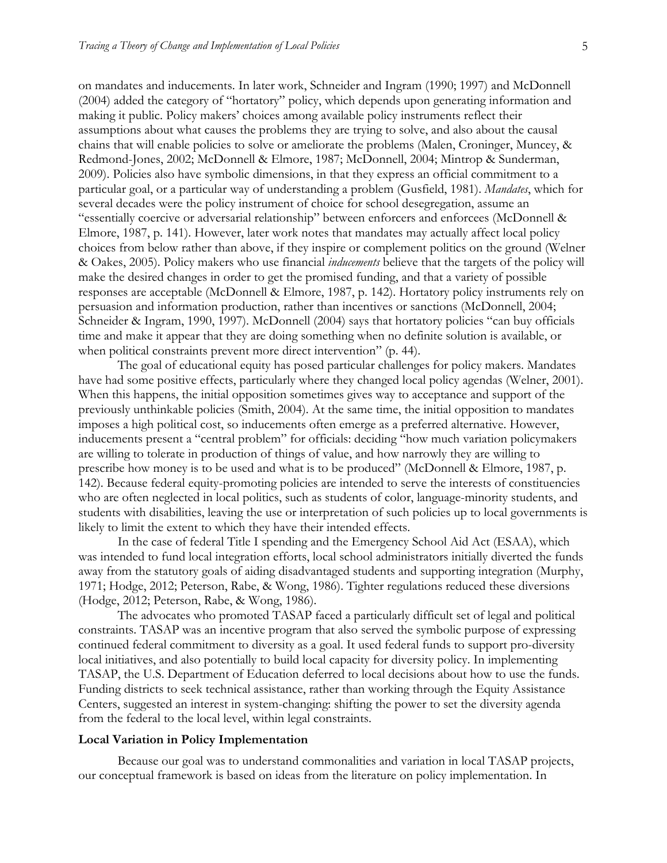on mandates and inducements. In later work, Schneider and Ingram (1990; 1997) and McDonnell (2004) added the category of "hortatory" policy, which depends upon generating information and making it public. Policy makers' choices among available policy instruments reflect their assumptions about what causes the problems they are trying to solve, and also about the causal chains that will enable policies to solve or ameliorate the problems (Malen, Croninger, Muncey, & Redmond-Jones, 2002; McDonnell & Elmore, 1987; McDonnell, 2004; Mintrop & Sunderman, 2009). Policies also have symbolic dimensions, in that they express an official commitment to a particular goal, or a particular way of understanding a problem (Gusfield, 1981). *Mandates*, which for several decades were the policy instrument of choice for school desegregation, assume an "essentially coercive or adversarial relationship" between enforcers and enforcees (McDonnell & Elmore, 1987, p. 141). However, later work notes that mandates may actually affect local policy choices from below rather than above, if they inspire or complement politics on the ground (Welner & Oakes, 2005). Policy makers who use financial *inducements* believe that the targets of the policy will make the desired changes in order to get the promised funding, and that a variety of possible responses are acceptable (McDonnell & Elmore, 1987, p. 142). Hortatory policy instruments rely on persuasion and information production, rather than incentives or sanctions (McDonnell, 2004; Schneider & Ingram, 1990, 1997). McDonnell (2004) says that hortatory policies "can buy officials time and make it appear that they are doing something when no definite solution is available, or when political constraints prevent more direct intervention" (p. 44).

The goal of educational equity has posed particular challenges for policy makers. Mandates have had some positive effects, particularly where they changed local policy agendas (Welner, 2001). When this happens, the initial opposition sometimes gives way to acceptance and support of the previously unthinkable policies (Smith, 2004). At the same time, the initial opposition to mandates imposes a high political cost, so inducements often emerge as a preferred alternative. However, inducements present a "central problem" for officials: deciding "how much variation policymakers are willing to tolerate in production of things of value, and how narrowly they are willing to prescribe how money is to be used and what is to be produced" (McDonnell & Elmore, 1987, p. 142). Because federal equity-promoting policies are intended to serve the interests of constituencies who are often neglected in local politics, such as students of color, language-minority students, and students with disabilities, leaving the use or interpretation of such policies up to local governments is likely to limit the extent to which they have their intended effects.

In the case of federal Title I spending and the Emergency School Aid Act (ESAA), which was intended to fund local integration efforts, local school administrators initially diverted the funds away from the statutory goals of aiding disadvantaged students and supporting integration (Murphy, 1971; Hodge, 2012; Peterson, Rabe, & Wong, 1986). Tighter regulations reduced these diversions (Hodge, 2012; Peterson, Rabe, & Wong, 1986).

The advocates who promoted TASAP faced a particularly difficult set of legal and political constraints. TASAP was an incentive program that also served the symbolic purpose of expressing continued federal commitment to diversity as a goal. It used federal funds to support pro-diversity local initiatives, and also potentially to build local capacity for diversity policy. In implementing TASAP, the U.S. Department of Education deferred to local decisions about how to use the funds. Funding districts to seek technical assistance, rather than working through the Equity Assistance Centers, suggested an interest in system-changing: shifting the power to set the diversity agenda from the federal to the local level, within legal constraints.

#### **Local Variation in Policy Implementation**

Because our goal was to understand commonalities and variation in local TASAP projects, our conceptual framework is based on ideas from the literature on policy implementation. In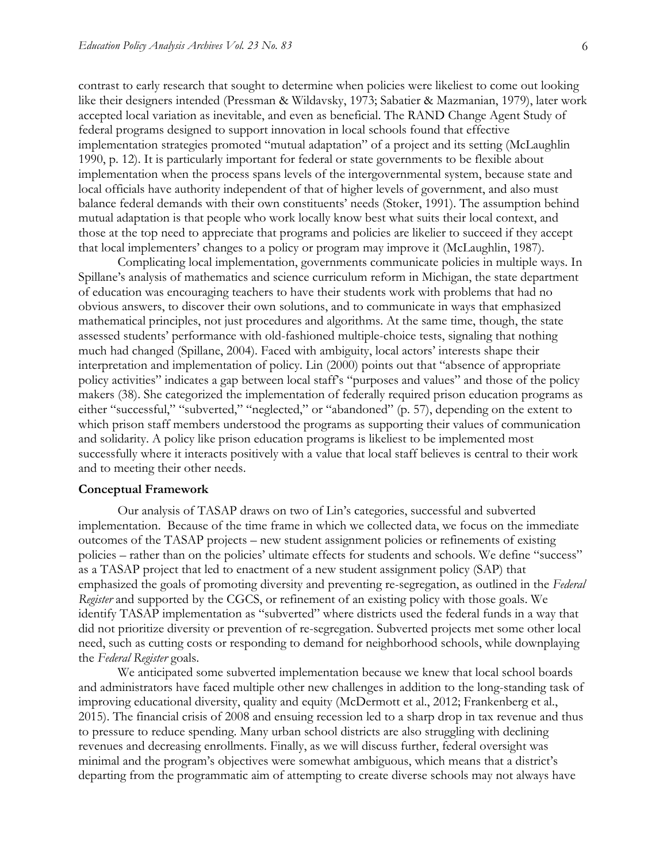contrast to early research that sought to determine when policies were likeliest to come out looking like their designers intended (Pressman & Wildavsky, 1973; Sabatier & Mazmanian, 1979), later work accepted local variation as inevitable, and even as beneficial. The RAND Change Agent Study of federal programs designed to support innovation in local schools found that effective implementation strategies promoted "mutual adaptation" of a project and its setting (McLaughlin 1990, p. 12). It is particularly important for federal or state governments to be flexible about implementation when the process spans levels of the intergovernmental system, because state and local officials have authority independent of that of higher levels of government, and also must balance federal demands with their own constituents' needs (Stoker, 1991). The assumption behind mutual adaptation is that people who work locally know best what suits their local context, and those at the top need to appreciate that programs and policies are likelier to succeed if they accept that local implementers' changes to a policy or program may improve it (McLaughlin, 1987).

Complicating local implementation, governments communicate policies in multiple ways. In Spillane's analysis of mathematics and science curriculum reform in Michigan, the state department of education was encouraging teachers to have their students work with problems that had no obvious answers, to discover their own solutions, and to communicate in ways that emphasized mathematical principles, not just procedures and algorithms. At the same time, though, the state assessed students' performance with old-fashioned multiple-choice tests, signaling that nothing much had changed (Spillane, 2004). Faced with ambiguity, local actors' interests shape their interpretation and implementation of policy. Lin (2000) points out that "absence of appropriate policy activities" indicates a gap between local staff's "purposes and values" and those of the policy makers (38). She categorized the implementation of federally required prison education programs as either "successful," "subverted," "neglected," or "abandoned" (p. 57), depending on the extent to which prison staff members understood the programs as supporting their values of communication and solidarity. A policy like prison education programs is likeliest to be implemented most successfully where it interacts positively with a value that local staff believes is central to their work and to meeting their other needs.

#### **Conceptual Framework**

Our analysis of TASAP draws on two of Lin's categories, successful and subverted implementation. Because of the time frame in which we collected data, we focus on the immediate outcomes of the TASAP projects – new student assignment policies or refinements of existing policies – rather than on the policies' ultimate effects for students and schools. We define "success" as a TASAP project that led to enactment of a new student assignment policy (SAP) that emphasized the goals of promoting diversity and preventing re-segregation, as outlined in the *Federal Register* and supported by the CGCS, or refinement of an existing policy with those goals. We identify TASAP implementation as "subverted" where districts used the federal funds in a way that did not prioritize diversity or prevention of re-segregation. Subverted projects met some other local need, such as cutting costs or responding to demand for neighborhood schools, while downplaying the *Federal Register* goals.

We anticipated some subverted implementation because we knew that local school boards and administrators have faced multiple other new challenges in addition to the long-standing task of improving educational diversity, quality and equity (McDermott et al., 2012; Frankenberg et al., 2015). The financial crisis of 2008 and ensuing recession led to a sharp drop in tax revenue and thus to pressure to reduce spending. Many urban school districts are also struggling with declining revenues and decreasing enrollments. Finally, as we will discuss further, federal oversight was minimal and the program's objectives were somewhat ambiguous, which means that a district's departing from the programmatic aim of attempting to create diverse schools may not always have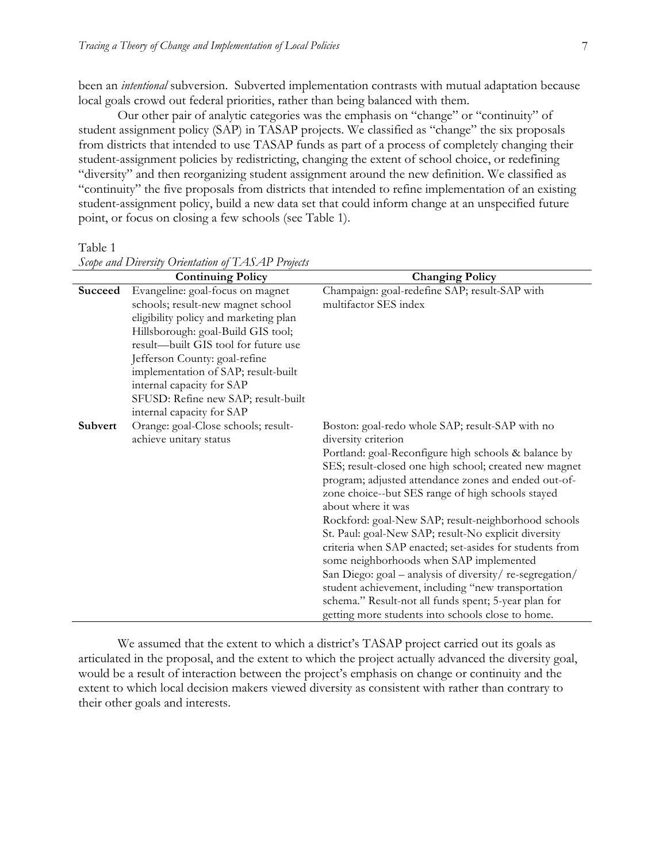been an *intentional* subversion. Subverted implementation contrasts with mutual adaptation because local goals crowd out federal priorities, rather than being balanced with them.

Our other pair of analytic categories was the emphasis on "change" or "continuity" of student assignment policy (SAP) in TASAP projects. We classified as "change" the six proposals from districts that intended to use TASAP funds as part of a process of completely changing their student-assignment policies by redistricting, changing the extent of school choice, or redefining "diversity" and then reorganizing student assignment around the new definition. We classified as "continuity" the five proposals from districts that intended to refine implementation of an existing student-assignment policy, build a new data set that could inform change at an unspecified future point, or focus on closing a few schools (see Table 1).

Table 1

|         | <b>Continuing Policy</b>              | <b>Changing Policy</b>                                  |
|---------|---------------------------------------|---------------------------------------------------------|
| Succeed | Evangeline: goal-focus on magnet      | Champaign: goal-redefine SAP; result-SAP with           |
|         | schools; result-new magnet school     | multifactor SES index                                   |
|         | eligibility policy and marketing plan |                                                         |
|         | Hillsborough: goal-Build GIS tool;    |                                                         |
|         | result-built GIS tool for future use  |                                                         |
|         | Jefferson County: goal-refine         |                                                         |
|         | implementation of SAP; result-built   |                                                         |
|         | internal capacity for SAP             |                                                         |
|         | SFUSD: Refine new SAP; result-built   |                                                         |
|         | internal capacity for SAP             |                                                         |
| Subvert | Orange: goal-Close schools; result-   | Boston: goal-redo whole SAP; result-SAP with no         |
|         | achieve unitary status                | diversity criterion                                     |
|         |                                       | Portland: goal-Reconfigure high schools & balance by    |
|         |                                       | SES; result-closed one high school; created new magnet  |
|         |                                       | program; adjusted attendance zones and ended out-of-    |
|         |                                       | zone choice--but SES range of high schools stayed       |
|         |                                       | about where it was                                      |
|         |                                       | Rockford: goal-New SAP; result-neighborhood schools     |
|         |                                       | St. Paul: goal-New SAP; result-No explicit diversity    |
|         |                                       | criteria when SAP enacted; set-asides for students from |
|         |                                       | some neighborhoods when SAP implemented                 |
|         |                                       | San Diego: goal - analysis of diversity/re-segregation/ |
|         |                                       | student achievement, including "new transportation      |
|         |                                       | schema." Result-not all funds spent; 5-year plan for    |
|         |                                       | getting more students into schools close to home.       |

*Scope and Diversity Orientation of TASAP Projects*

We assumed that the extent to which a district's TASAP project carried out its goals as articulated in the proposal, and the extent to which the project actually advanced the diversity goal, would be a result of interaction between the project's emphasis on change or continuity and the extent to which local decision makers viewed diversity as consistent with rather than contrary to their other goals and interests.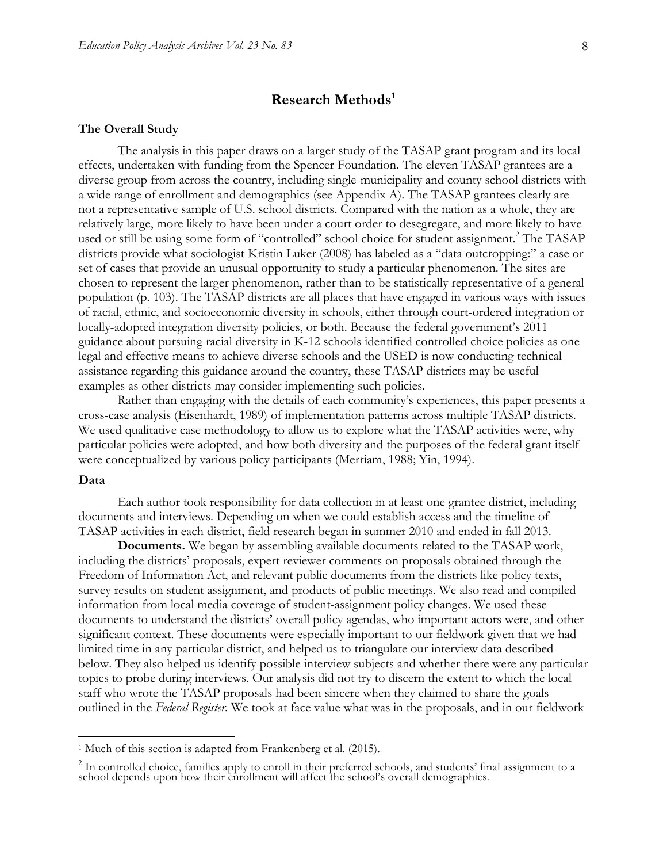## **Research Methods1**

#### **The Overall Study**

The analysis in this paper draws on a larger study of the TASAP grant program and its local effects, undertaken with funding from the Spencer Foundation. The eleven TASAP grantees are a diverse group from across the country, including single-municipality and county school districts with a wide range of enrollment and demographics (see Appendix A). The TASAP grantees clearly are not a representative sample of U.S. school districts. Compared with the nation as a whole, they are relatively large, more likely to have been under a court order to desegregate, and more likely to have used or still be using some form of "controlled" school choice for student assignment.<sup>2</sup> The TASAP districts provide what sociologist Kristin Luker (2008) has labeled as a "data outcropping:" a case or set of cases that provide an unusual opportunity to study a particular phenomenon. The sites are chosen to represent the larger phenomenon, rather than to be statistically representative of a general population (p. 103). The TASAP districts are all places that have engaged in various ways with issues of racial, ethnic, and socioeconomic diversity in schools, either through court-ordered integration or locally-adopted integration diversity policies, or both. Because the federal government's 2011 guidance about pursuing racial diversity in K-12 schools identified controlled choice policies as one legal and effective means to achieve diverse schools and the USED is now conducting technical assistance regarding this guidance around the country, these TASAP districts may be useful examples as other districts may consider implementing such policies.

Rather than engaging with the details of each community's experiences, this paper presents a cross-case analysis (Eisenhardt, 1989) of implementation patterns across multiple TASAP districts. We used qualitative case methodology to allow us to explore what the TASAP activities were, why particular policies were adopted, and how both diversity and the purposes of the federal grant itself were conceptualized by various policy participants (Merriam, 1988; Yin, 1994).

#### **Data**

Each author took responsibility for data collection in at least one grantee district, including documents and interviews. Depending on when we could establish access and the timeline of TASAP activities in each district, field research began in summer 2010 and ended in fall 2013.

**Documents.** We began by assembling available documents related to the TASAP work, including the districts' proposals, expert reviewer comments on proposals obtained through the Freedom of Information Act, and relevant public documents from the districts like policy texts, survey results on student assignment, and products of public meetings. We also read and compiled information from local media coverage of student-assignment policy changes. We used these documents to understand the districts' overall policy agendas, who important actors were, and other significant context. These documents were especially important to our fieldwork given that we had limited time in any particular district, and helped us to triangulate our interview data described below. They also helped us identify possible interview subjects and whether there were any particular topics to probe during interviews. Our analysis did not try to discern the extent to which the local staff who wrote the TASAP proposals had been sincere when they claimed to share the goals outlined in the *Federal Register.* We took at face value what was in the proposals, and in our fieldwork

<sup>1</sup> Much of this section is adapted from Frankenberg et al. (2015).

<sup>&</sup>lt;sup>2</sup> In controlled choice, families apply to enroll in their preferred schools, and students' final assignment to a school depends upon how their enrollment will affect the school's overall demographics.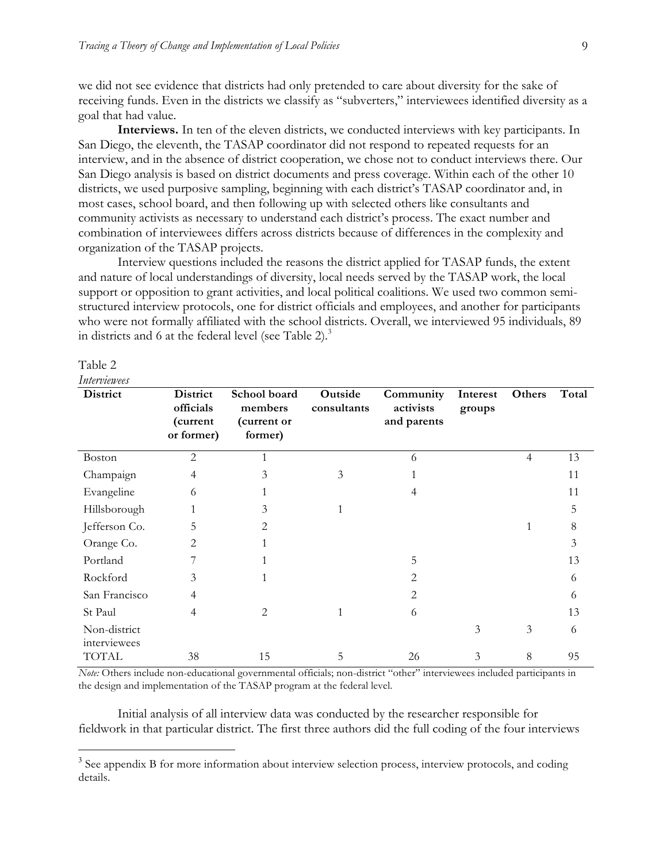we did not see evidence that districts had only pretended to care about diversity for the sake of receiving funds. Even in the districts we classify as "subverters," interviewees identified diversity as a goal that had value.

**Interviews.** In ten of the eleven districts, we conducted interviews with key participants. In San Diego, the eleventh, the TASAP coordinator did not respond to repeated requests for an interview, and in the absence of district cooperation, we chose not to conduct interviews there. Our San Diego analysis is based on district documents and press coverage. Within each of the other 10 districts, we used purposive sampling, beginning with each district's TASAP coordinator and, in most cases, school board, and then following up with selected others like consultants and community activists as necessary to understand each district's process. The exact number and combination of interviewees differs across districts because of differences in the complexity and organization of the TASAP projects.

Interview questions included the reasons the district applied for TASAP funds, the extent and nature of local understandings of diversity, local needs served by the TASAP work, the local support or opposition to grant activities, and local political coalitions. We used two common semistructured interview protocols, one for district officials and employees, and another for participants who were not formally affiliated with the school districts. Overall, we interviewed 95 individuals, 89 in districts and 6 at the federal level (see Table 2).<sup>3</sup>

|  |  | ағыс |  |
|--|--|------|--|
|--|--|------|--|

*Interviewees*

| <b>District</b>              | District<br>officials<br>(current)<br>or former) | School board<br>members<br>(current or<br>former) | Outside<br>consultants | Community<br>activists<br>and parents | Interest<br>groups | Others         | Total |
|------------------------------|--------------------------------------------------|---------------------------------------------------|------------------------|---------------------------------------|--------------------|----------------|-------|
| <b>Boston</b>                | $\overline{2}$                                   |                                                   |                        | 6                                     |                    | $\overline{4}$ | 13    |
| Champaign                    | 4                                                | 3                                                 | 3                      |                                       |                    |                | 11    |
| Evangeline                   | 6                                                |                                                   |                        | 4                                     |                    |                | 11    |
| Hillsborough                 | $\mathbf{1}$                                     | 3                                                 |                        |                                       |                    |                | 5     |
| Jefferson Co.                | 5                                                | 2                                                 |                        |                                       |                    | 1              | 8     |
| Orange Co.                   | 2                                                |                                                   |                        |                                       |                    |                | 3     |
| Portland                     |                                                  |                                                   |                        | 5                                     |                    |                | 13    |
| Rockford                     | 3                                                |                                                   |                        | 2                                     |                    |                | 6     |
| San Francisco                | 4                                                |                                                   |                        | $\overline{2}$                        |                    |                | 6     |
| St Paul                      | 4                                                | 2                                                 |                        | 6                                     |                    |                | 13    |
| Non-district<br>interviewees |                                                  |                                                   |                        |                                       | 3                  | 3              | 6     |
| <b>TOTAL</b>                 | 38                                               | 15                                                | 5                      | 26                                    | 3                  | 8              | 95    |

*Note:* Others include non-educational governmental officials; non-district "other" interviewees included participants in the design and implementation of the TASAP program at the federal level.

Initial analysis of all interview data was conducted by the researcher responsible for fieldwork in that particular district. The first three authors did the full coding of the four interviews

<sup>&</sup>lt;sup>3</sup> See appendix B for more information about interview selection process, interview protocols, and coding details.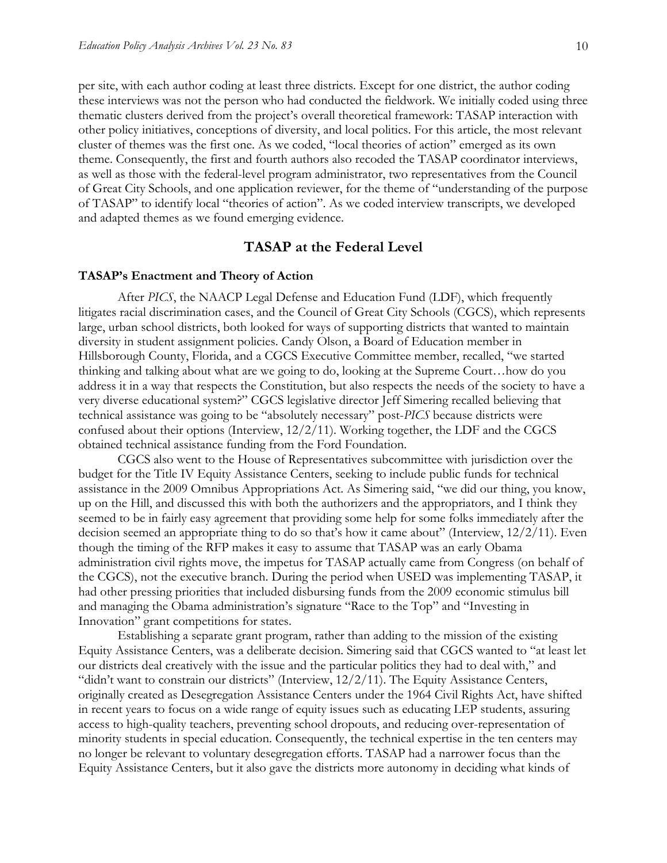per site, with each author coding at least three districts. Except for one district, the author coding these interviews was not the person who had conducted the fieldwork. We initially coded using three thematic clusters derived from the project's overall theoretical framework: TASAP interaction with other policy initiatives, conceptions of diversity, and local politics. For this article, the most relevant cluster of themes was the first one. As we coded, "local theories of action" emerged as its own theme. Consequently, the first and fourth authors also recoded the TASAP coordinator interviews, as well as those with the federal-level program administrator, two representatives from the Council of Great City Schools, and one application reviewer, for the theme of "understanding of the purpose of TASAP" to identify local "theories of action". As we coded interview transcripts, we developed and adapted themes as we found emerging evidence.

#### **TASAP at the Federal Level**

#### **TASAP's Enactment and Theory of Action**

After *PICS*, the NAACP Legal Defense and Education Fund (LDF), which frequently litigates racial discrimination cases, and the Council of Great City Schools (CGCS), which represents large, urban school districts, both looked for ways of supporting districts that wanted to maintain diversity in student assignment policies. Candy Olson, a Board of Education member in Hillsborough County, Florida, and a CGCS Executive Committee member, recalled, "we started thinking and talking about what are we going to do, looking at the Supreme Court…how do you address it in a way that respects the Constitution, but also respects the needs of the society to have a very diverse educational system?" CGCS legislative director Jeff Simering recalled believing that technical assistance was going to be "absolutely necessary" post-*PICS* because districts were confused about their options (Interview,  $12/2/11$ ). Working together, the LDF and the CGCS obtained technical assistance funding from the Ford Foundation.

CGCS also went to the House of Representatives subcommittee with jurisdiction over the budget for the Title IV Equity Assistance Centers, seeking to include public funds for technical assistance in the 2009 Omnibus Appropriations Act. As Simering said, "we did our thing, you know, up on the Hill, and discussed this with both the authorizers and the appropriators, and I think they seemed to be in fairly easy agreement that providing some help for some folks immediately after the decision seemed an appropriate thing to do so that's how it came about" (Interview, 12/2/11). Even though the timing of the RFP makes it easy to assume that TASAP was an early Obama administration civil rights move, the impetus for TASAP actually came from Congress (on behalf of the CGCS), not the executive branch. During the period when USED was implementing TASAP, it had other pressing priorities that included disbursing funds from the 2009 economic stimulus bill and managing the Obama administration's signature "Race to the Top" and "Investing in Innovation" grant competitions for states.

Establishing a separate grant program, rather than adding to the mission of the existing Equity Assistance Centers, was a deliberate decision. Simering said that CGCS wanted to "at least let our districts deal creatively with the issue and the particular politics they had to deal with," and "didn't want to constrain our districts" (Interview,  $12/2/11$ ). The Equity Assistance Centers, originally created as Desegregation Assistance Centers under the 1964 Civil Rights Act, have shifted in recent years to focus on a wide range of equity issues such as educating LEP students, assuring access to high-quality teachers, preventing school dropouts, and reducing over-representation of minority students in special education. Consequently, the technical expertise in the ten centers may no longer be relevant to voluntary desegregation efforts. TASAP had a narrower focus than the Equity Assistance Centers, but it also gave the districts more autonomy in deciding what kinds of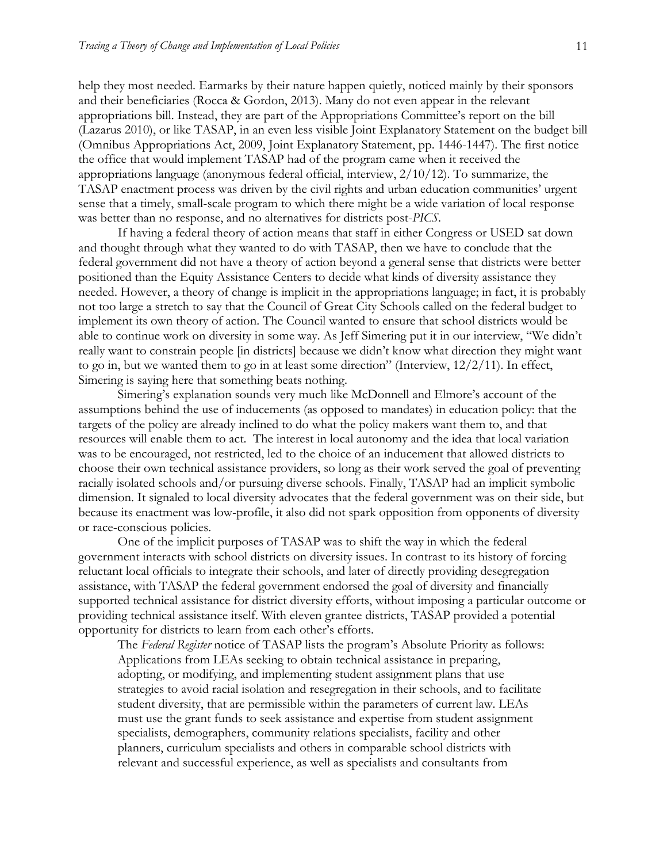help they most needed. Earmarks by their nature happen quietly, noticed mainly by their sponsors and their beneficiaries (Rocca & Gordon, 2013). Many do not even appear in the relevant appropriations bill. Instead, they are part of the Appropriations Committee's report on the bill (Lazarus 2010), or like TASAP, in an even less visible Joint Explanatory Statement on the budget bill (Omnibus Appropriations Act, 2009, Joint Explanatory Statement, pp. 1446-1447). The first notice the office that would implement TASAP had of the program came when it received the appropriations language (anonymous federal official, interview, 2/10/12). To summarize, the TASAP enactment process was driven by the civil rights and urban education communities' urgent sense that a timely, small-scale program to which there might be a wide variation of local response was better than no response, and no alternatives for districts post-*PICS*.

If having a federal theory of action means that staff in either Congress or USED sat down and thought through what they wanted to do with TASAP, then we have to conclude that the federal government did not have a theory of action beyond a general sense that districts were better positioned than the Equity Assistance Centers to decide what kinds of diversity assistance they needed. However, a theory of change is implicit in the appropriations language; in fact, it is probably not too large a stretch to say that the Council of Great City Schools called on the federal budget to implement its own theory of action. The Council wanted to ensure that school districts would be able to continue work on diversity in some way. As Jeff Simering put it in our interview, "We didn't really want to constrain people [in districts] because we didn't know what direction they might want to go in, but we wanted them to go in at least some direction" (Interview, 12/2/11). In effect, Simering is saying here that something beats nothing.

Simering's explanation sounds very much like McDonnell and Elmore's account of the assumptions behind the use of inducements (as opposed to mandates) in education policy: that the targets of the policy are already inclined to do what the policy makers want them to, and that resources will enable them to act. The interest in local autonomy and the idea that local variation was to be encouraged, not restricted, led to the choice of an inducement that allowed districts to choose their own technical assistance providers, so long as their work served the goal of preventing racially isolated schools and/or pursuing diverse schools. Finally, TASAP had an implicit symbolic dimension. It signaled to local diversity advocates that the federal government was on their side, but because its enactment was low-profile, it also did not spark opposition from opponents of diversity or race-conscious policies.

One of the implicit purposes of TASAP was to shift the way in which the federal government interacts with school districts on diversity issues. In contrast to its history of forcing reluctant local officials to integrate their schools, and later of directly providing desegregation assistance, with TASAP the federal government endorsed the goal of diversity and financially supported technical assistance for district diversity efforts, without imposing a particular outcome or providing technical assistance itself. With eleven grantee districts, TASAP provided a potential opportunity for districts to learn from each other's efforts.

The *Federal Register* notice of TASAP lists the program's Absolute Priority as follows: Applications from LEAs seeking to obtain technical assistance in preparing, adopting, or modifying, and implementing student assignment plans that use strategies to avoid racial isolation and resegregation in their schools, and to facilitate student diversity, that are permissible within the parameters of current law. LEAs must use the grant funds to seek assistance and expertise from student assignment specialists, demographers, community relations specialists, facility and other planners, curriculum specialists and others in comparable school districts with relevant and successful experience, as well as specialists and consultants from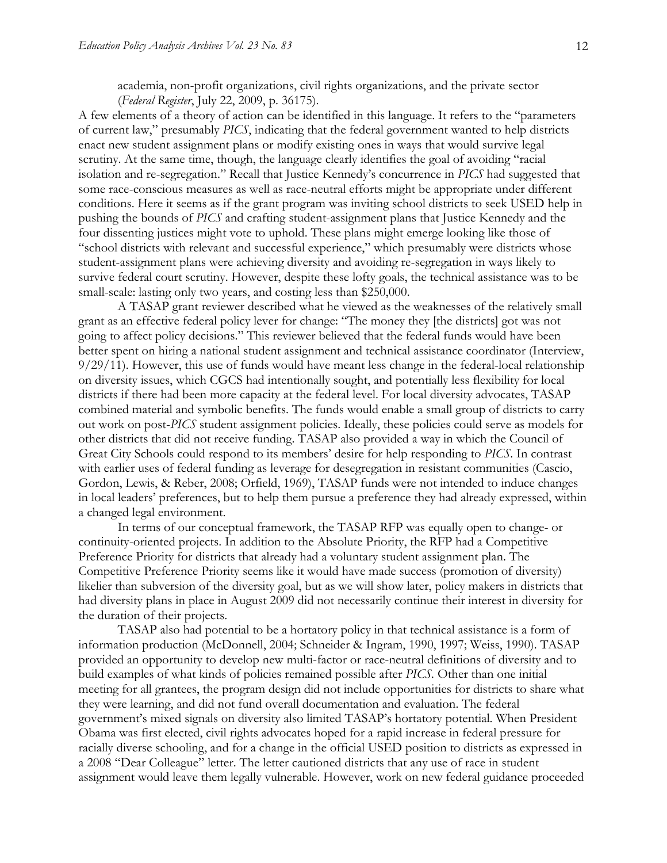academia, non-profit organizations, civil rights organizations, and the private sector (*Federal Register*, July 22, 2009, p. 36175).

A few elements of a theory of action can be identified in this language. It refers to the "parameters of current law," presumably *PICS*, indicating that the federal government wanted to help districts enact new student assignment plans or modify existing ones in ways that would survive legal scrutiny. At the same time, though, the language clearly identifies the goal of avoiding "racial isolation and re-segregation." Recall that Justice Kennedy's concurrence in *PICS* had suggested that some race-conscious measures as well as race-neutral efforts might be appropriate under different conditions. Here it seems as if the grant program was inviting school districts to seek USED help in pushing the bounds of *PICS* and crafting student-assignment plans that Justice Kennedy and the four dissenting justices might vote to uphold. These plans might emerge looking like those of "school districts with relevant and successful experience," which presumably were districts whose student-assignment plans were achieving diversity and avoiding re-segregation in ways likely to survive federal court scrutiny. However, despite these lofty goals, the technical assistance was to be small-scale: lasting only two years, and costing less than \$250,000.

A TASAP grant reviewer described what he viewed as the weaknesses of the relatively small grant as an effective federal policy lever for change: "The money they [the districts] got was not going to affect policy decisions." This reviewer believed that the federal funds would have been better spent on hiring a national student assignment and technical assistance coordinator (Interview, 9/29/11). However, this use of funds would have meant less change in the federal-local relationship on diversity issues, which CGCS had intentionally sought, and potentially less flexibility for local districts if there had been more capacity at the federal level. For local diversity advocates, TASAP combined material and symbolic benefits. The funds would enable a small group of districts to carry out work on post-*PICS* student assignment policies. Ideally, these policies could serve as models for other districts that did not receive funding. TASAP also provided a way in which the Council of Great City Schools could respond to its members' desire for help responding to *PICS*. In contrast with earlier uses of federal funding as leverage for desegregation in resistant communities (Cascio, Gordon, Lewis, & Reber, 2008; Orfield, 1969), TASAP funds were not intended to induce changes in local leaders' preferences, but to help them pursue a preference they had already expressed, within a changed legal environment.

In terms of our conceptual framework, the TASAP RFP was equally open to change- or continuity-oriented projects. In addition to the Absolute Priority, the RFP had a Competitive Preference Priority for districts that already had a voluntary student assignment plan. The Competitive Preference Priority seems like it would have made success (promotion of diversity) likelier than subversion of the diversity goal, but as we will show later, policy makers in districts that had diversity plans in place in August 2009 did not necessarily continue their interest in diversity for the duration of their projects.

TASAP also had potential to be a hortatory policy in that technical assistance is a form of information production (McDonnell, 2004; Schneider & Ingram, 1990, 1997; Weiss, 1990). TASAP provided an opportunity to develop new multi-factor or race-neutral definitions of diversity and to build examples of what kinds of policies remained possible after *PICS.* Other than one initial meeting for all grantees, the program design did not include opportunities for districts to share what they were learning, and did not fund overall documentation and evaluation. The federal government's mixed signals on diversity also limited TASAP's hortatory potential. When President Obama was first elected, civil rights advocates hoped for a rapid increase in federal pressure for racially diverse schooling, and for a change in the official USED position to districts as expressed in a 2008 "Dear Colleague" letter. The letter cautioned districts that any use of race in student assignment would leave them legally vulnerable. However, work on new federal guidance proceeded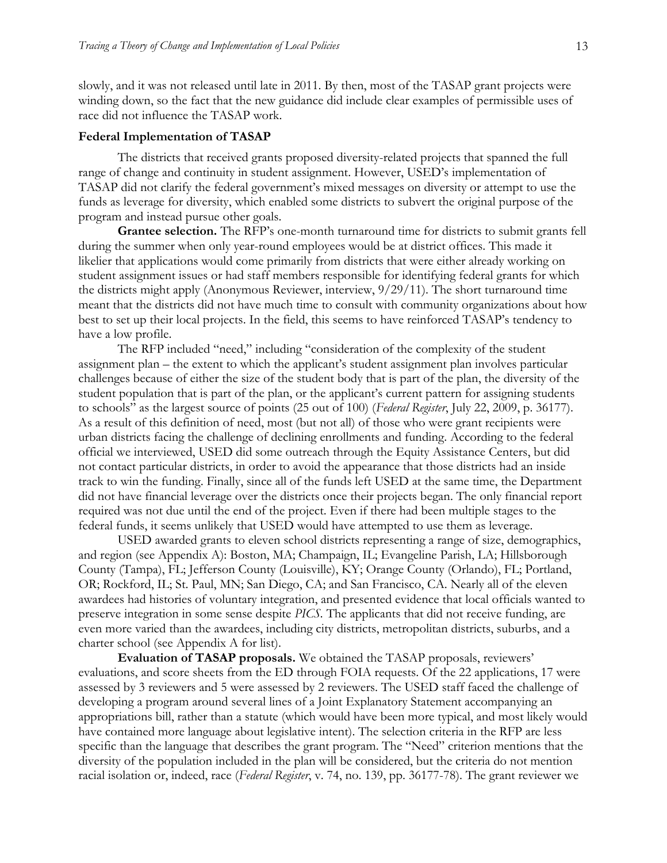slowly, and it was not released until late in 2011. By then, most of the TASAP grant projects were winding down, so the fact that the new guidance did include clear examples of permissible uses of race did not influence the TASAP work.

#### **Federal Implementation of TASAP**

The districts that received grants proposed diversity-related projects that spanned the full range of change and continuity in student assignment. However, USED's implementation of TASAP did not clarify the federal government's mixed messages on diversity or attempt to use the funds as leverage for diversity, which enabled some districts to subvert the original purpose of the program and instead pursue other goals.

**Grantee selection.** The RFP's one-month turnaround time for districts to submit grants fell during the summer when only year-round employees would be at district offices. This made it likelier that applications would come primarily from districts that were either already working on student assignment issues or had staff members responsible for identifying federal grants for which the districts might apply (Anonymous Reviewer, interview, 9/29/11). The short turnaround time meant that the districts did not have much time to consult with community organizations about how best to set up their local projects. In the field, this seems to have reinforced TASAP's tendency to have a low profile.

The RFP included "need," including "consideration of the complexity of the student assignment plan – the extent to which the applicant's student assignment plan involves particular challenges because of either the size of the student body that is part of the plan, the diversity of the student population that is part of the plan, or the applicant's current pattern for assigning students to schools" as the largest source of points (25 out of 100) (*Federal Register*, July 22, 2009, p. 36177). As a result of this definition of need, most (but not all) of those who were grant recipients were urban districts facing the challenge of declining enrollments and funding. According to the federal official we interviewed, USED did some outreach through the Equity Assistance Centers, but did not contact particular districts, in order to avoid the appearance that those districts had an inside track to win the funding. Finally, since all of the funds left USED at the same time, the Department did not have financial leverage over the districts once their projects began. The only financial report required was not due until the end of the project. Even if there had been multiple stages to the federal funds, it seems unlikely that USED would have attempted to use them as leverage.

USED awarded grants to eleven school districts representing a range of size, demographics, and region (see Appendix A): Boston, MA; Champaign, IL; Evangeline Parish, LA; Hillsborough County (Tampa), FL; Jefferson County (Louisville), KY; Orange County (Orlando), FL; Portland, OR; Rockford, IL; St. Paul, MN; San Diego, CA; and San Francisco, CA. Nearly all of the eleven awardees had histories of voluntary integration, and presented evidence that local officials wanted to preserve integration in some sense despite *PICS.* The applicants that did not receive funding, are even more varied than the awardees, including city districts, metropolitan districts, suburbs, and a charter school (see Appendix A for list).

**Evaluation of TASAP proposals.** We obtained the TASAP proposals, reviewers' evaluations, and score sheets from the ED through FOIA requests. Of the 22 applications, 17 were assessed by 3 reviewers and 5 were assessed by 2 reviewers. The USED staff faced the challenge of developing a program around several lines of a Joint Explanatory Statement accompanying an appropriations bill, rather than a statute (which would have been more typical, and most likely would have contained more language about legislative intent). The selection criteria in the RFP are less specific than the language that describes the grant program. The "Need" criterion mentions that the diversity of the population included in the plan will be considered, but the criteria do not mention racial isolation or, indeed, race (*Federal Register*, v. 74, no. 139, pp. 36177-78). The grant reviewer we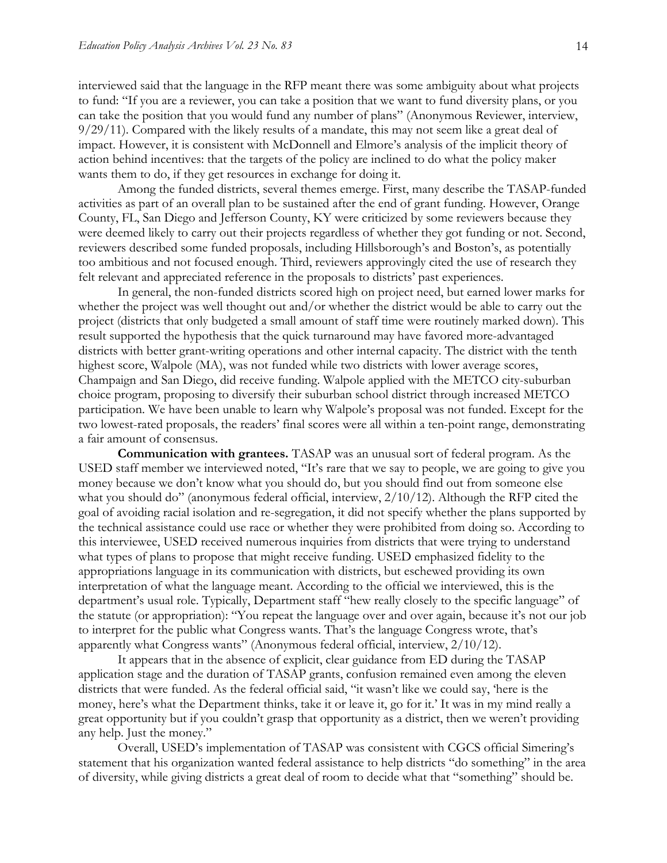interviewed said that the language in the RFP meant there was some ambiguity about what projects to fund: "If you are a reviewer, you can take a position that we want to fund diversity plans, or you can take the position that you would fund any number of plans" (Anonymous Reviewer, interview,  $9/29/11$ ). Compared with the likely results of a mandate, this may not seem like a great deal of impact. However, it is consistent with McDonnell and Elmore's analysis of the implicit theory of action behind incentives: that the targets of the policy are inclined to do what the policy maker wants them to do, if they get resources in exchange for doing it.

Among the funded districts, several themes emerge. First, many describe the TASAP-funded activities as part of an overall plan to be sustained after the end of grant funding. However, Orange County, FL, San Diego and Jefferson County, KY were criticized by some reviewers because they were deemed likely to carry out their projects regardless of whether they got funding or not. Second, reviewers described some funded proposals, including Hillsborough's and Boston's, as potentially too ambitious and not focused enough. Third, reviewers approvingly cited the use of research they felt relevant and appreciated reference in the proposals to districts' past experiences.

In general, the non-funded districts scored high on project need, but earned lower marks for whether the project was well thought out and/or whether the district would be able to carry out the project (districts that only budgeted a small amount of staff time were routinely marked down). This result supported the hypothesis that the quick turnaround may have favored more-advantaged districts with better grant-writing operations and other internal capacity. The district with the tenth highest score, Walpole (MA), was not funded while two districts with lower average scores, Champaign and San Diego, did receive funding. Walpole applied with the METCO city-suburban choice program, proposing to diversify their suburban school district through increased METCO participation. We have been unable to learn why Walpole's proposal was not funded. Except for the two lowest-rated proposals, the readers' final scores were all within a ten-point range, demonstrating a fair amount of consensus.

**Communication with grantees.** TASAP was an unusual sort of federal program. As the USED staff member we interviewed noted, "It's rare that we say to people, we are going to give you money because we don't know what you should do, but you should find out from someone else what you should do" (anonymous federal official, interview, 2/10/12). Although the RFP cited the goal of avoiding racial isolation and re-segregation, it did not specify whether the plans supported by the technical assistance could use race or whether they were prohibited from doing so. According to this interviewee, USED received numerous inquiries from districts that were trying to understand what types of plans to propose that might receive funding. USED emphasized fidelity to the appropriations language in its communication with districts, but eschewed providing its own interpretation of what the language meant. According to the official we interviewed, this is the department's usual role. Typically, Department staff "hew really closely to the specific language" of the statute (or appropriation): "You repeat the language over and over again, because it's not our job to interpret for the public what Congress wants. That's the language Congress wrote, that's apparently what Congress wants" (Anonymous federal official, interview, 2/10/12).

It appears that in the absence of explicit, clear guidance from ED during the TASAP application stage and the duration of TASAP grants, confusion remained even among the eleven districts that were funded. As the federal official said, "it wasn't like we could say, 'here is the money, here's what the Department thinks, take it or leave it, go for it.' It was in my mind really a great opportunity but if you couldn't grasp that opportunity as a district, then we weren't providing any help. Just the money."

Overall, USED's implementation of TASAP was consistent with CGCS official Simering's statement that his organization wanted federal assistance to help districts "do something" in the area of diversity, while giving districts a great deal of room to decide what that "something" should be.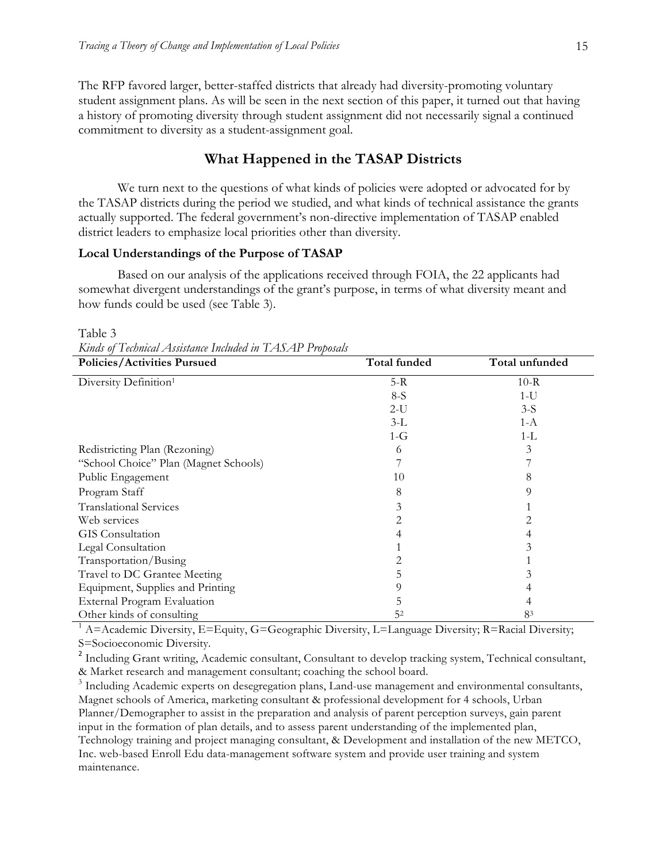The RFP favored larger, better-staffed districts that already had diversity-promoting voluntary student assignment plans. As will be seen in the next section of this paper, it turned out that having a history of promoting diversity through student assignment did not necessarily signal a continued commitment to diversity as a student-assignment goal.

## **What Happened in the TASAP Districts**

We turn next to the questions of what kinds of policies were adopted or advocated for by the TASAP districts during the period we studied, and what kinds of technical assistance the grants actually supported. The federal government's non-directive implementation of TASAP enabled district leaders to emphasize local priorities other than diversity.

#### **Local Understandings of the Purpose of TASAP**

Based on our analysis of the applications received through FOIA, the 22 applicants had somewhat divergent understandings of the grant's purpose, in terms of what diversity meant and how funds could be used (see Table 3).

| <b>IVENTUAL</b> $\theta$ <b>I EVISIVE OF 2 1336366666 INVERSION FOR 12 132 11 1 10 POSOBS</b><br><b>Policies/Activities Pursued</b> | Total funded | Total unfunded |
|-------------------------------------------------------------------------------------------------------------------------------------|--------------|----------------|
| Diversity Definition <sup>1</sup>                                                                                                   | $5-R$        | $10-R$         |
|                                                                                                                                     | $8-S$        | $1-U$          |
|                                                                                                                                     | $2-U$        | $3-S$          |
|                                                                                                                                     | $3-L$        | $1-A$          |
|                                                                                                                                     | $1-G$        | $1-L$          |
| Redistricting Plan (Rezoning)                                                                                                       | 6            | 3              |
| "School Choice" Plan (Magnet Schools)                                                                                               | 7            |                |
| Public Engagement                                                                                                                   | 10           | 8              |
| Program Staff                                                                                                                       | 8            | 9              |
| <b>Translational Services</b>                                                                                                       | 3            |                |
| Web services                                                                                                                        | 2            | 2              |
| GIS Consultation                                                                                                                    | 4            |                |
| Legal Consultation                                                                                                                  |              | 3              |
| Transportation/Busing                                                                                                               | 2            |                |
| Travel to DC Grantee Meeting                                                                                                        | 5            | 3              |
| Equipment, Supplies and Printing                                                                                                    | 9            |                |
| External Program Evaluation                                                                                                         | 5            |                |
| Other kinds of consulting                                                                                                           | 52           | 83             |

Table 3

*Kinds of Technical Assistance Included in TASAP Proposals*

 $1$  A=Academic Diversity, E=Equity, G=Geographic Diversity, L=Language Diversity; R=Racial Diversity; S=Socioeconomic Diversity.

<sup>2</sup> Including Grant writing, Academic consultant, Consultant to develop tracking system, Technical consultant, & Market research and management consultant; coaching the school board.

<sup>3</sup> Including Academic experts on desegregation plans, Land-use management and environmental consultants, Magnet schools of America, marketing consultant & professional development for 4 schools, Urban Planner/Demographer to assist in the preparation and analysis of parent perception surveys, gain parent input in the formation of plan details, and to assess parent understanding of the implemented plan, Technology training and project managing consultant, & Development and installation of the new METCO, Inc. web-based Enroll Edu data-management software system and provide user training and system maintenance.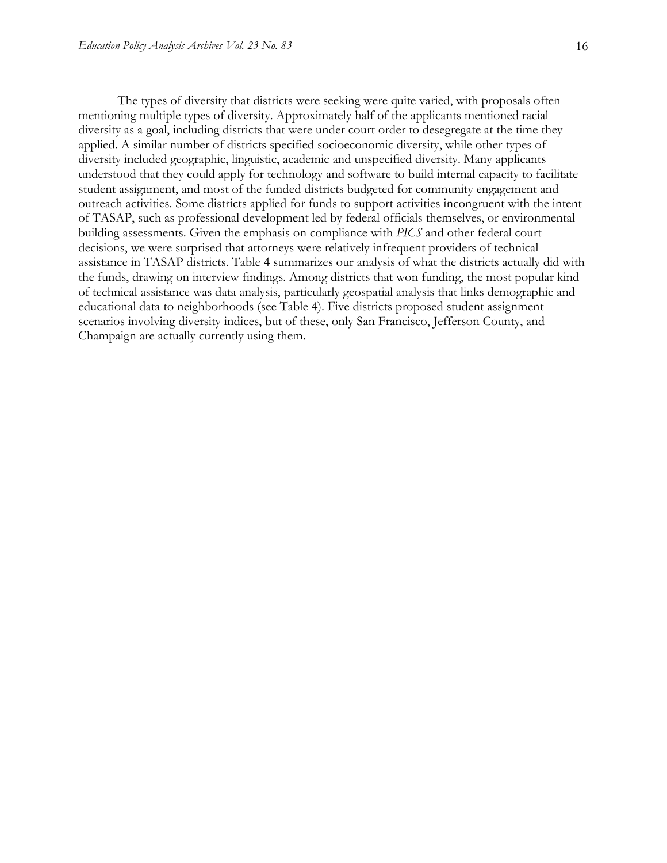The types of diversity that districts were seeking were quite varied, with proposals often mentioning multiple types of diversity. Approximately half of the applicants mentioned racial diversity as a goal, including districts that were under court order to desegregate at the time they applied. A similar number of districts specified socioeconomic diversity, while other types of diversity included geographic, linguistic, academic and unspecified diversity. Many applicants understood that they could apply for technology and software to build internal capacity to facilitate student assignment, and most of the funded districts budgeted for community engagement and outreach activities. Some districts applied for funds to support activities incongruent with the intent of TASAP, such as professional development led by federal officials themselves, or environmental building assessments. Given the emphasis on compliance with *PICS* and other federal court decisions, we were surprised that attorneys were relatively infrequent providers of technical assistance in TASAP districts. Table 4 summarizes our analysis of what the districts actually did with the funds, drawing on interview findings. Among districts that won funding, the most popular kind of technical assistance was data analysis, particularly geospatial analysis that links demographic and educational data to neighborhoods (see Table 4). Five districts proposed student assignment scenarios involving diversity indices, but of these, only San Francisco, Jefferson County, and Champaign are actually currently using them.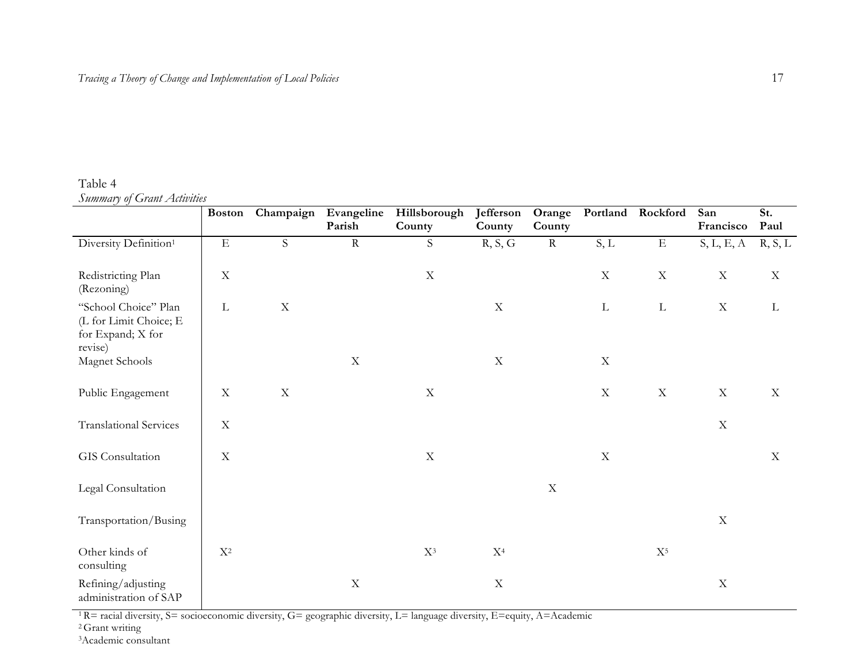Table 4 *Summary of Grant Activities*

|                                                                                | <b>Boston</b>  |                | Champaign Evangeline<br>Parish | Hillsborough<br>County | Jefferson<br>County | Orange<br>County |             | Portland Rockford | San<br>Francisco          | St.<br>Paul |
|--------------------------------------------------------------------------------|----------------|----------------|--------------------------------|------------------------|---------------------|------------------|-------------|-------------------|---------------------------|-------------|
| Diversity Definition <sup>1</sup>                                              | $\mathbf E$    | ${\mathcal S}$ | $\mathbf R$                    | S                      | R, S, G             | $\mathbf R$      | S, L        | $\mathbf E$       | S, L, E, A                | R, S, L     |
| Redistricting Plan<br>(Rezoning)                                               | $\mathbf X$    |                |                                | $\mathbf X$            |                     |                  | $\mathbf X$ | $\mathbf X$       | $\mathbf X$               | $\mathbf X$ |
| "School Choice" Plan<br>(L for Limit Choice; E<br>for Expand; X for<br>revise) | $\mathbf L$    | $\mathbf X$    |                                |                        | $\mathbf X$         |                  | $\Gamma$    | $\Gamma$          | $\boldsymbol{\mathrm{X}}$ | $\Gamma$    |
| Magnet Schools                                                                 |                |                | $\mathbf X$                    |                        | $\mathbf X$         |                  | $\mathbf X$ |                   |                           |             |
| Public Engagement                                                              | $\mathbf X$    | $\mathbf X$    |                                | $\mathbf X$            |                     |                  | $\mathbf X$ | $\mathbf X$       | $\mathbf X$               | $\mathbf X$ |
| <b>Translational Services</b>                                                  | $\mathbf X$    |                |                                |                        |                     |                  |             |                   | $\mathbf X$               |             |
| GIS Consultation                                                               | $\mathbf X$    |                |                                | $\mathbf X$            |                     |                  | $\mathbf X$ |                   |                           | $\mathbf X$ |
| Legal Consultation                                                             |                |                |                                |                        |                     | $\mathbf X$      |             |                   |                           |             |
| Transportation/Busing                                                          |                |                |                                |                        |                     |                  |             |                   | $\mathbf X$               |             |
| Other kinds of<br>consulting                                                   | $\mathbf{X}^2$ |                |                                | $\mathbf{X}^3$         | X <sup>4</sup>      |                  |             | $X^5$             |                           |             |
| Refining/adjusting<br>administration of SAP                                    |                |                | $\mathbf X$                    |                        | $\mathbf X$         |                  |             |                   | $\mathbf X$               |             |

1 R= racial diversity, S= socioeconomic diversity, G= geographic diversity, L= language diversity, E=equity, A=Academic

2 Grant writing

 $3$ Academic consultant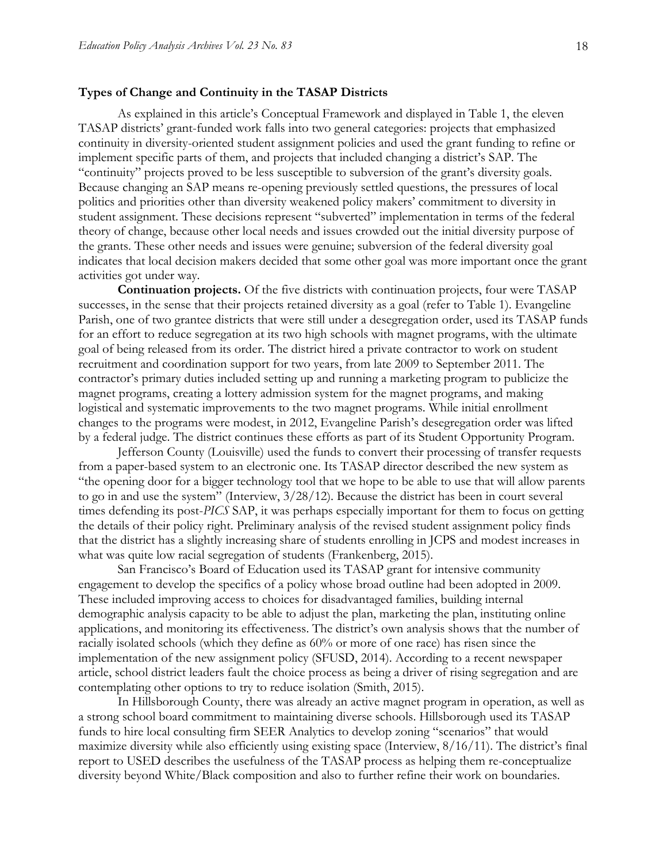#### **Types of Change and Continuity in the TASAP Districts**

As explained in this article's Conceptual Framework and displayed in Table 1, the eleven TASAP districts' grant-funded work falls into two general categories: projects that emphasized continuity in diversity-oriented student assignment policies and used the grant funding to refine or implement specific parts of them, and projects that included changing a district's SAP. The "continuity" projects proved to be less susceptible to subversion of the grant's diversity goals. Because changing an SAP means re-opening previously settled questions, the pressures of local politics and priorities other than diversity weakened policy makers' commitment to diversity in student assignment. These decisions represent "subverted" implementation in terms of the federal theory of change, because other local needs and issues crowded out the initial diversity purpose of the grants. These other needs and issues were genuine; subversion of the federal diversity goal indicates that local decision makers decided that some other goal was more important once the grant activities got under way.

**Continuation projects.** Of the five districts with continuation projects, four were TASAP successes, in the sense that their projects retained diversity as a goal (refer to Table 1). Evangeline Parish, one of two grantee districts that were still under a desegregation order, used its TASAP funds for an effort to reduce segregation at its two high schools with magnet programs, with the ultimate goal of being released from its order. The district hired a private contractor to work on student recruitment and coordination support for two years, from late 2009 to September 2011. The contractor's primary duties included setting up and running a marketing program to publicize the magnet programs, creating a lottery admission system for the magnet programs, and making logistical and systematic improvements to the two magnet programs. While initial enrollment changes to the programs were modest, in 2012, Evangeline Parish's desegregation order was lifted by a federal judge. The district continues these efforts as part of its Student Opportunity Program.

Jefferson County (Louisville) used the funds to convert their processing of transfer requests from a paper-based system to an electronic one. Its TASAP director described the new system as "the opening door for a bigger technology tool that we hope to be able to use that will allow parents to go in and use the system" (Interview, 3/28/12). Because the district has been in court several times defending its post-*PICS* SAP, it was perhaps especially important for them to focus on getting the details of their policy right. Preliminary analysis of the revised student assignment policy finds that the district has a slightly increasing share of students enrolling in JCPS and modest increases in what was quite low racial segregation of students (Frankenberg, 2015).

San Francisco's Board of Education used its TASAP grant for intensive community engagement to develop the specifics of a policy whose broad outline had been adopted in 2009. These included improving access to choices for disadvantaged families, building internal demographic analysis capacity to be able to adjust the plan, marketing the plan, instituting online applications, and monitoring its effectiveness. The district's own analysis shows that the number of racially isolated schools (which they define as 60% or more of one race) has risen since the implementation of the new assignment policy (SFUSD, 2014). According to a recent newspaper article, school district leaders fault the choice process as being a driver of rising segregation and are contemplating other options to try to reduce isolation (Smith, 2015).

In Hillsborough County, there was already an active magnet program in operation, as well as a strong school board commitment to maintaining diverse schools. Hillsborough used its TASAP funds to hire local consulting firm SEER Analytics to develop zoning "scenarios" that would maximize diversity while also efficiently using existing space (Interview, 8/16/11). The district's final report to USED describes the usefulness of the TASAP process as helping them re-conceptualize diversity beyond White/Black composition and also to further refine their work on boundaries.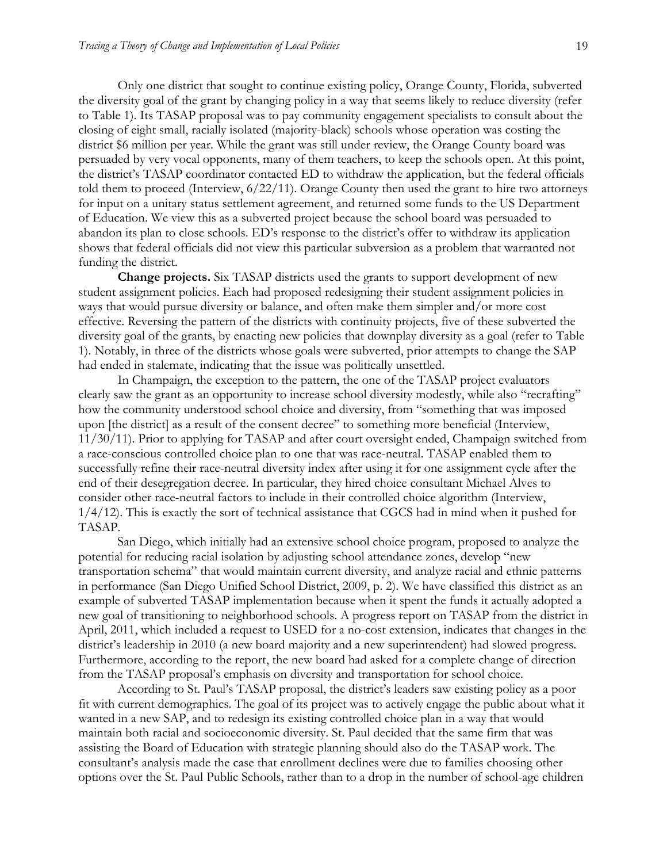Only one district that sought to continue existing policy, Orange County, Florida, subverted the diversity goal of the grant by changing policy in a way that seems likely to reduce diversity (refer to Table 1). Its TASAP proposal was to pay community engagement specialists to consult about the closing of eight small, racially isolated (majority-black) schools whose operation was costing the district \$6 million per year. While the grant was still under review, the Orange County board was persuaded by very vocal opponents, many of them teachers, to keep the schools open. At this point, the district's TASAP coordinator contacted ED to withdraw the application, but the federal officials told them to proceed (Interview, 6/22/11). Orange County then used the grant to hire two attorneys for input on a unitary status settlement agreement, and returned some funds to the US Department of Education. We view this as a subverted project because the school board was persuaded to abandon its plan to close schools. ED's response to the district's offer to withdraw its application shows that federal officials did not view this particular subversion as a problem that warranted not funding the district.

**Change projects.** Six TASAP districts used the grants to support development of new student assignment policies. Each had proposed redesigning their student assignment policies in ways that would pursue diversity or balance, and often make them simpler and/or more cost effective. Reversing the pattern of the districts with continuity projects, five of these subverted the diversity goal of the grants, by enacting new policies that downplay diversity as a goal (refer to Table 1). Notably, in three of the districts whose goals were subverted, prior attempts to change the SAP had ended in stalemate, indicating that the issue was politically unsettled.

In Champaign, the exception to the pattern, the one of the TASAP project evaluators clearly saw the grant as an opportunity to increase school diversity modestly, while also "recrafting" how the community understood school choice and diversity, from "something that was imposed upon [the district] as a result of the consent decree" to something more beneficial (Interview, 11/30/11). Prior to applying for TASAP and after court oversight ended, Champaign switched from a race-conscious controlled choice plan to one that was race-neutral. TASAP enabled them to successfully refine their race-neutral diversity index after using it for one assignment cycle after the end of their desegregation decree. In particular, they hired choice consultant Michael Alves to consider other race-neutral factors to include in their controlled choice algorithm (Interview, 1/4/12). This is exactly the sort of technical assistance that CGCS had in mind when it pushed for TASAP.

San Diego, which initially had an extensive school choice program, proposed to analyze the potential for reducing racial isolation by adjusting school attendance zones, develop "new transportation schema" that would maintain current diversity, and analyze racial and ethnic patterns in performance (San Diego Unified School District, 2009, p. 2). We have classified this district as an example of subverted TASAP implementation because when it spent the funds it actually adopted a new goal of transitioning to neighborhood schools. A progress report on TASAP from the district in April, 2011, which included a request to USED for a no-cost extension, indicates that changes in the district's leadership in 2010 (a new board majority and a new superintendent) had slowed progress. Furthermore, according to the report, the new board had asked for a complete change of direction from the TASAP proposal's emphasis on diversity and transportation for school choice.

According to St. Paul's TASAP proposal, the district's leaders saw existing policy as a poor fit with current demographics. The goal of its project was to actively engage the public about what it wanted in a new SAP, and to redesign its existing controlled choice plan in a way that would maintain both racial and socioeconomic diversity. St. Paul decided that the same firm that was assisting the Board of Education with strategic planning should also do the TASAP work. The consultant's analysis made the case that enrollment declines were due to families choosing other options over the St. Paul Public Schools, rather than to a drop in the number of school-age children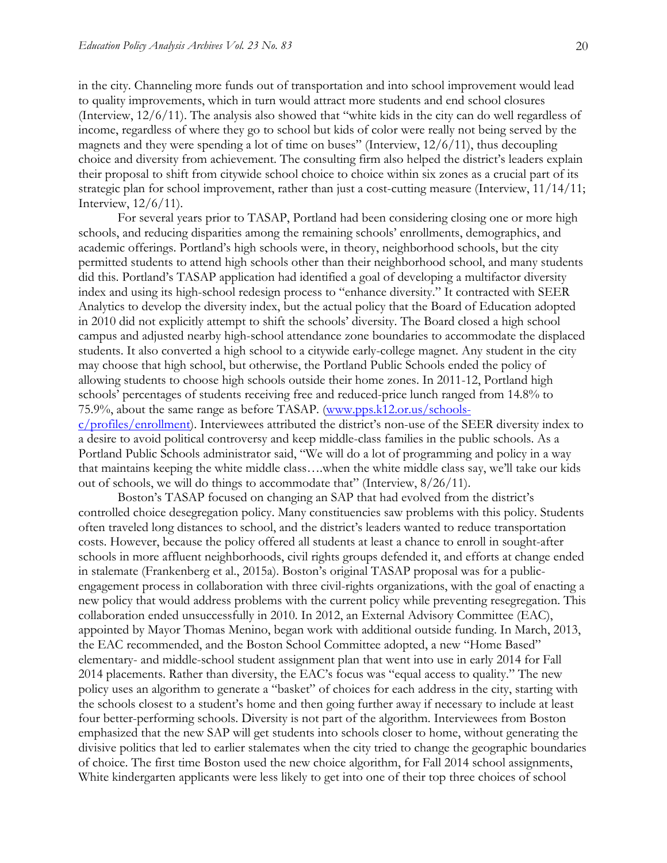in the city. Channeling more funds out of transportation and into school improvement would lead to quality improvements, which in turn would attract more students and end school closures (Interview, 12/6/11). The analysis also showed that "white kids in the city can do well regardless of income, regardless of where they go to school but kids of color were really not being served by the magnets and they were spending a lot of time on buses" (Interview,  $12/6/11$ ), thus decoupling choice and diversity from achievement. The consulting firm also helped the district's leaders explain their proposal to shift from citywide school choice to choice within six zones as a crucial part of its strategic plan for school improvement, rather than just a cost-cutting measure (Interview, 11/14/11; Interview, 12/6/11).

For several years prior to TASAP, Portland had been considering closing one or more high schools, and reducing disparities among the remaining schools' enrollments, demographics, and academic offerings. Portland's high schools were, in theory, neighborhood schools, but the city permitted students to attend high schools other than their neighborhood school, and many students did this. Portland's TASAP application had identified a goal of developing a multifactor diversity index and using its high-school redesign process to "enhance diversity." It contracted with SEER Analytics to develop the diversity index, but the actual policy that the Board of Education adopted in 2010 did not explicitly attempt to shift the schools' diversity. The Board closed a high school campus and adjusted nearby high-school attendance zone boundaries to accommodate the displaced students. It also converted a high school to a citywide early-college magnet. Any student in the city may choose that high school, but otherwise, the Portland Public Schools ended the policy of allowing students to choose high schools outside their home zones. In 2011-12, Portland high schools' percentages of students receiving free and reduced-price lunch ranged from 14.8% to 75.9%, about the same range as before TASAP. (www.pps.k12.or.us/schoolsc/profiles/enrollment). Interviewees attributed the district's non-use of the SEER diversity index to a desire to avoid political controversy and keep middle-class families in the public schools. As a Portland Public Schools administrator said, "We will do a lot of programming and policy in a way that maintains keeping the white middle class….when the white middle class say, we'll take our kids out of schools, we will do things to accommodate that" (Interview, 8/26/11).

Boston's TASAP focused on changing an SAP that had evolved from the district's controlled choice desegregation policy. Many constituencies saw problems with this policy. Students often traveled long distances to school, and the district's leaders wanted to reduce transportation costs. However, because the policy offered all students at least a chance to enroll in sought-after schools in more affluent neighborhoods, civil rights groups defended it, and efforts at change ended in stalemate (Frankenberg et al., 2015a). Boston's original TASAP proposal was for a publicengagement process in collaboration with three civil-rights organizations, with the goal of enacting a new policy that would address problems with the current policy while preventing resegregation. This collaboration ended unsuccessfully in 2010. In 2012, an External Advisory Committee (EAC), appointed by Mayor Thomas Menino, began work with additional outside funding. In March, 2013, the EAC recommended, and the Boston School Committee adopted, a new "Home Based" elementary- and middle-school student assignment plan that went into use in early 2014 for Fall 2014 placements. Rather than diversity, the EAC's focus was "equal access to quality." The new policy uses an algorithm to generate a "basket" of choices for each address in the city, starting with the schools closest to a student's home and then going further away if necessary to include at least four better-performing schools. Diversity is not part of the algorithm. Interviewees from Boston emphasized that the new SAP will get students into schools closer to home, without generating the divisive politics that led to earlier stalemates when the city tried to change the geographic boundaries of choice. The first time Boston used the new choice algorithm, for Fall 2014 school assignments, White kindergarten applicants were less likely to get into one of their top three choices of school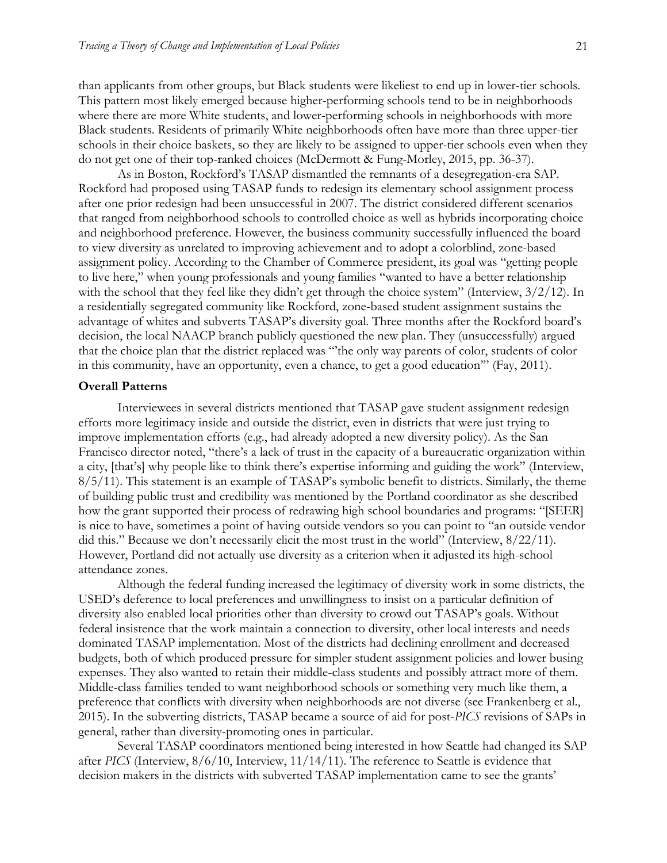than applicants from other groups, but Black students were likeliest to end up in lower-tier schools. This pattern most likely emerged because higher-performing schools tend to be in neighborhoods where there are more White students, and lower-performing schools in neighborhoods with more Black students. Residents of primarily White neighborhoods often have more than three upper-tier schools in their choice baskets, so they are likely to be assigned to upper-tier schools even when they do not get one of their top-ranked choices (McDermott & Fung-Morley, 2015, pp. 36-37).

As in Boston, Rockford's TASAP dismantled the remnants of a desegregation-era SAP. Rockford had proposed using TASAP funds to redesign its elementary school assignment process after one prior redesign had been unsuccessful in 2007. The district considered different scenarios that ranged from neighborhood schools to controlled choice as well as hybrids incorporating choice and neighborhood preference. However, the business community successfully influenced the board to view diversity as unrelated to improving achievement and to adopt a colorblind, zone-based assignment policy. According to the Chamber of Commerce president, its goal was "getting people to live here," when young professionals and young families "wanted to have a better relationship with the school that they feel like they didn't get through the choice system" (Interview, 3/2/12). In a residentially segregated community like Rockford, zone-based student assignment sustains the advantage of whites and subverts TASAP's diversity goal. Three months after the Rockford board's decision, the local NAACP branch publicly questioned the new plan. They (unsuccessfully) argued that the choice plan that the district replaced was "'the only way parents of color, students of color in this community, have an opportunity, even a chance, to get a good education'" (Fay, 2011).

#### **Overall Patterns**

Interviewees in several districts mentioned that TASAP gave student assignment redesign efforts more legitimacy inside and outside the district, even in districts that were just trying to improve implementation efforts (e.g., had already adopted a new diversity policy). As the San Francisco director noted, "there's a lack of trust in the capacity of a bureaucratic organization within a city, [that's] why people like to think there's expertise informing and guiding the work" (Interview, 8/5/11). This statement is an example of TASAP's symbolic benefit to districts. Similarly, the theme of building public trust and credibility was mentioned by the Portland coordinator as she described how the grant supported their process of redrawing high school boundaries and programs: "[SEER] is nice to have, sometimes a point of having outside vendors so you can point to "an outside vendor did this." Because we don't necessarily elicit the most trust in the world" (Interview, 8/22/11). However, Portland did not actually use diversity as a criterion when it adjusted its high-school attendance zones.

Although the federal funding increased the legitimacy of diversity work in some districts, the USED's deference to local preferences and unwillingness to insist on a particular definition of diversity also enabled local priorities other than diversity to crowd out TASAP's goals. Without federal insistence that the work maintain a connection to diversity, other local interests and needs dominated TASAP implementation. Most of the districts had declining enrollment and decreased budgets, both of which produced pressure for simpler student assignment policies and lower busing expenses. They also wanted to retain their middle-class students and possibly attract more of them. Middle-class families tended to want neighborhood schools or something very much like them, a preference that conflicts with diversity when neighborhoods are not diverse (see Frankenberg et al., 2015). In the subverting districts, TASAP became a source of aid for post-*PICS* revisions of SAPs in general, rather than diversity-promoting ones in particular.

Several TASAP coordinators mentioned being interested in how Seattle had changed its SAP after *PICS* (Interview, 8/6/10, Interview, 11/14/11). The reference to Seattle is evidence that decision makers in the districts with subverted TASAP implementation came to see the grants'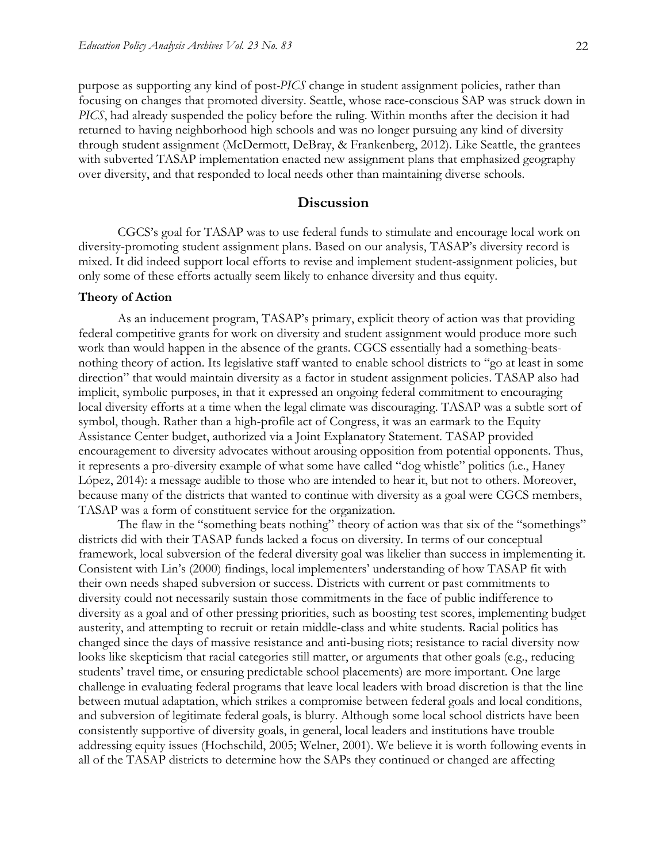purpose as supporting any kind of post*-PICS* change in student assignment policies, rather than focusing on changes that promoted diversity. Seattle, whose race-conscious SAP was struck down in *PICS*, had already suspended the policy before the ruling. Within months after the decision it had returned to having neighborhood high schools and was no longer pursuing any kind of diversity through student assignment (McDermott, DeBray, & Frankenberg, 2012). Like Seattle, the grantees with subverted TASAP implementation enacted new assignment plans that emphasized geography over diversity, and that responded to local needs other than maintaining diverse schools.

#### **Discussion**

CGCS's goal for TASAP was to use federal funds to stimulate and encourage local work on diversity-promoting student assignment plans. Based on our analysis, TASAP's diversity record is mixed. It did indeed support local efforts to revise and implement student-assignment policies, but only some of these efforts actually seem likely to enhance diversity and thus equity.

#### **Theory of Action**

As an inducement program, TASAP's primary, explicit theory of action was that providing federal competitive grants for work on diversity and student assignment would produce more such work than would happen in the absence of the grants. CGCS essentially had a something-beatsnothing theory of action. Its legislative staff wanted to enable school districts to "go at least in some direction" that would maintain diversity as a factor in student assignment policies. TASAP also had implicit, symbolic purposes, in that it expressed an ongoing federal commitment to encouraging local diversity efforts at a time when the legal climate was discouraging. TASAP was a subtle sort of symbol, though. Rather than a high-profile act of Congress, it was an earmark to the Equity Assistance Center budget, authorized via a Joint Explanatory Statement. TASAP provided encouragement to diversity advocates without arousing opposition from potential opponents. Thus, it represents a pro-diversity example of what some have called "dog whistle" politics (i.e., Haney López, 2014): a message audible to those who are intended to hear it, but not to others. Moreover, because many of the districts that wanted to continue with diversity as a goal were CGCS members, TASAP was a form of constituent service for the organization.

The flaw in the "something beats nothing" theory of action was that six of the "somethings" districts did with their TASAP funds lacked a focus on diversity. In terms of our conceptual framework, local subversion of the federal diversity goal was likelier than success in implementing it. Consistent with Lin's (2000) findings, local implementers' understanding of how TASAP fit with their own needs shaped subversion or success. Districts with current or past commitments to diversity could not necessarily sustain those commitments in the face of public indifference to diversity as a goal and of other pressing priorities, such as boosting test scores, implementing budget austerity, and attempting to recruit or retain middle-class and white students. Racial politics has changed since the days of massive resistance and anti-busing riots; resistance to racial diversity now looks like skepticism that racial categories still matter, or arguments that other goals (e.g., reducing students' travel time, or ensuring predictable school placements) are more important. One large challenge in evaluating federal programs that leave local leaders with broad discretion is that the line between mutual adaptation, which strikes a compromise between federal goals and local conditions, and subversion of legitimate federal goals, is blurry. Although some local school districts have been consistently supportive of diversity goals, in general, local leaders and institutions have trouble addressing equity issues (Hochschild, 2005; Welner, 2001). We believe it is worth following events in all of the TASAP districts to determine how the SAPs they continued or changed are affecting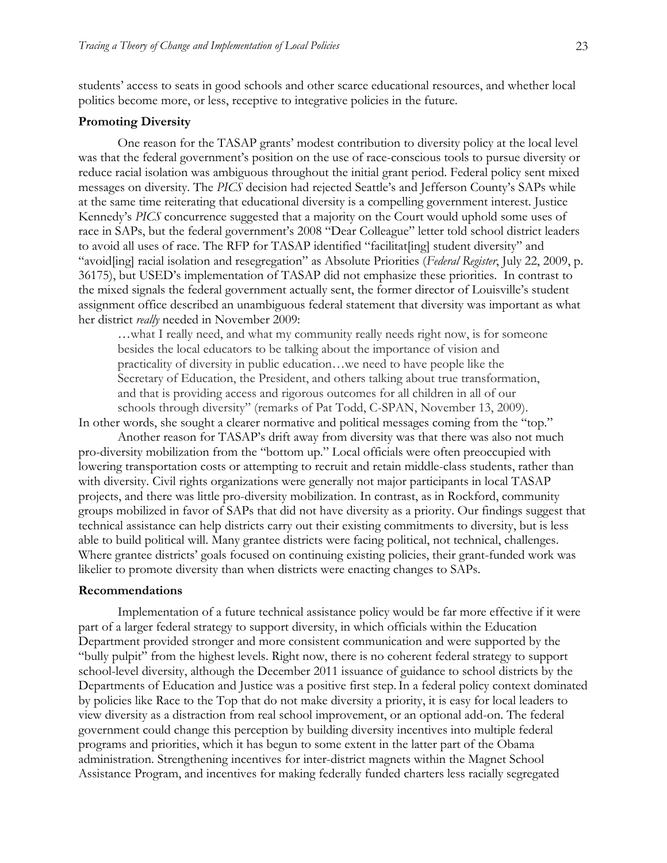students' access to seats in good schools and other scarce educational resources, and whether local politics become more, or less, receptive to integrative policies in the future.

#### **Promoting Diversity**

One reason for the TASAP grants' modest contribution to diversity policy at the local level was that the federal government's position on the use of race-conscious tools to pursue diversity or reduce racial isolation was ambiguous throughout the initial grant period. Federal policy sent mixed messages on diversity. The *PICS* decision had rejected Seattle's and Jefferson County's SAPs while at the same time reiterating that educational diversity is a compelling government interest. Justice Kennedy's *PICS* concurrence suggested that a majority on the Court would uphold some uses of race in SAPs, but the federal government's 2008 "Dear Colleague" letter told school district leaders to avoid all uses of race. The RFP for TASAP identified "facilitat[ing] student diversity" and "avoid[ing] racial isolation and resegregation" as Absolute Priorities (*Federal Register*, July 22, 2009, p. 36175), but USED's implementation of TASAP did not emphasize these priorities. In contrast to the mixed signals the federal government actually sent, the former director of Louisville's student assignment office described an unambiguous federal statement that diversity was important as what her district *really* needed in November 2009:

…what I really need, and what my community really needs right now, is for someone besides the local educators to be talking about the importance of vision and practicality of diversity in public education…we need to have people like the Secretary of Education, the President, and others talking about true transformation, and that is providing access and rigorous outcomes for all children in all of our schools through diversity" (remarks of Pat Todd, C-SPAN, November 13, 2009).

In other words, she sought a clearer normative and political messages coming from the "top."

Another reason for TASAP's drift away from diversity was that there was also not much pro-diversity mobilization from the "bottom up." Local officials were often preoccupied with lowering transportation costs or attempting to recruit and retain middle-class students, rather than with diversity. Civil rights organizations were generally not major participants in local TASAP projects, and there was little pro-diversity mobilization. In contrast, as in Rockford, community groups mobilized in favor of SAPs that did not have diversity as a priority. Our findings suggest that technical assistance can help districts carry out their existing commitments to diversity, but is less able to build political will. Many grantee districts were facing political, not technical, challenges. Where grantee districts' goals focused on continuing existing policies, their grant-funded work was likelier to promote diversity than when districts were enacting changes to SAPs.

#### **Recommendations**

Implementation of a future technical assistance policy would be far more effective if it were part of a larger federal strategy to support diversity, in which officials within the Education Department provided stronger and more consistent communication and were supported by the "bully pulpit" from the highest levels. Right now, there is no coherent federal strategy to support school-level diversity, although the December 2011 issuance of guidance to school districts by the Departments of Education and Justice was a positive first step.In a federal policy context dominated by policies like Race to the Top that do not make diversity a priority, it is easy for local leaders to view diversity as a distraction from real school improvement, or an optional add-on. The federal government could change this perception by building diversity incentives into multiple federal programs and priorities, which it has begun to some extent in the latter part of the Obama administration. Strengthening incentives for inter-district magnets within the Magnet School Assistance Program, and incentives for making federally funded charters less racially segregated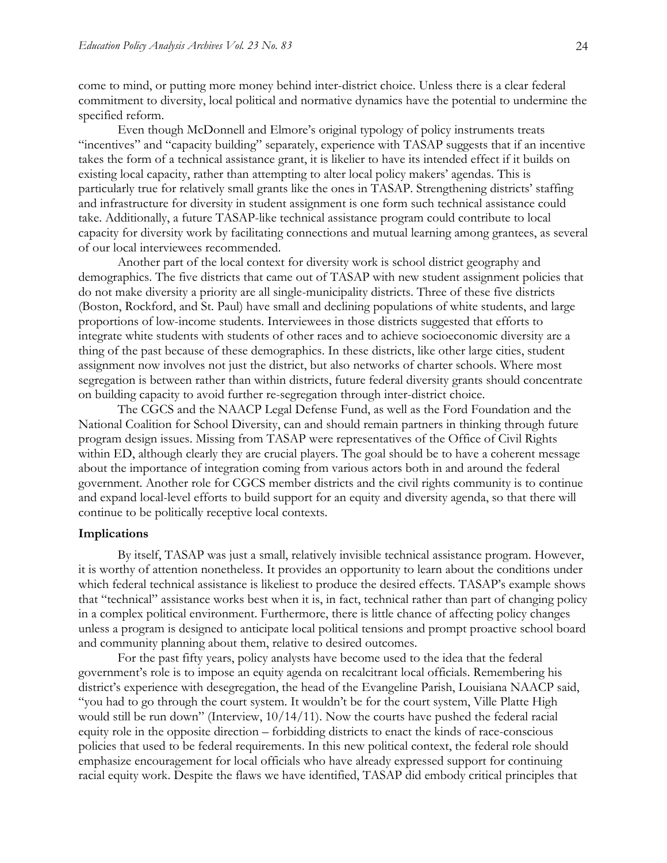come to mind, or putting more money behind inter-district choice. Unless there is a clear federal commitment to diversity, local political and normative dynamics have the potential to undermine the specified reform.

Even though McDonnell and Elmore's original typology of policy instruments treats "incentives" and "capacity building" separately, experience with TASAP suggests that if an incentive takes the form of a technical assistance grant, it is likelier to have its intended effect if it builds on existing local capacity, rather than attempting to alter local policy makers' agendas. This is particularly true for relatively small grants like the ones in TASAP. Strengthening districts' staffing and infrastructure for diversity in student assignment is one form such technical assistance could take. Additionally, a future TASAP-like technical assistance program could contribute to local capacity for diversity work by facilitating connections and mutual learning among grantees, as several of our local interviewees recommended.

Another part of the local context for diversity work is school district geography and demographics. The five districts that came out of TASAP with new student assignment policies that do not make diversity a priority are all single-municipality districts. Three of these five districts (Boston, Rockford, and St. Paul) have small and declining populations of white students, and large proportions of low-income students. Interviewees in those districts suggested that efforts to integrate white students with students of other races and to achieve socioeconomic diversity are a thing of the past because of these demographics. In these districts, like other large cities, student assignment now involves not just the district, but also networks of charter schools. Where most segregation is between rather than within districts, future federal diversity grants should concentrate on building capacity to avoid further re-segregation through inter-district choice.

The CGCS and the NAACP Legal Defense Fund, as well as the Ford Foundation and the National Coalition for School Diversity, can and should remain partners in thinking through future program design issues. Missing from TASAP were representatives of the Office of Civil Rights within ED, although clearly they are crucial players. The goal should be to have a coherent message about the importance of integration coming from various actors both in and around the federal government. Another role for CGCS member districts and the civil rights community is to continue and expand local-level efforts to build support for an equity and diversity agenda, so that there will continue to be politically receptive local contexts.

#### **Implications**

By itself, TASAP was just a small, relatively invisible technical assistance program. However, it is worthy of attention nonetheless. It provides an opportunity to learn about the conditions under which federal technical assistance is likeliest to produce the desired effects. TASAP's example shows that "technical" assistance works best when it is, in fact, technical rather than part of changing policy in a complex political environment. Furthermore, there is little chance of affecting policy changes unless a program is designed to anticipate local political tensions and prompt proactive school board and community planning about them, relative to desired outcomes.

For the past fifty years, policy analysts have become used to the idea that the federal government's role is to impose an equity agenda on recalcitrant local officials. Remembering his district's experience with desegregation, the head of the Evangeline Parish, Louisiana NAACP said, "you had to go through the court system. It wouldn't be for the court system, Ville Platte High would still be run down" (Interview, 10/14/11). Now the courts have pushed the federal racial equity role in the opposite direction – forbidding districts to enact the kinds of race-conscious policies that used to be federal requirements. In this new political context, the federal role should emphasize encouragement for local officials who have already expressed support for continuing racial equity work. Despite the flaws we have identified, TASAP did embody critical principles that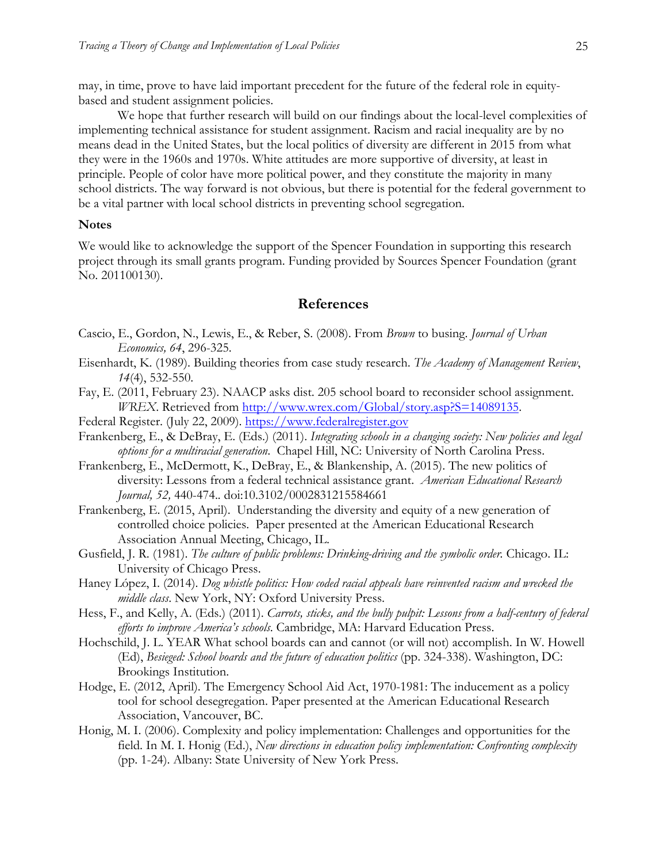may, in time, prove to have laid important precedent for the future of the federal role in equitybased and student assignment policies.

We hope that further research will build on our findings about the local-level complexities of implementing technical assistance for student assignment. Racism and racial inequality are by no means dead in the United States, but the local politics of diversity are different in 2015 from what they were in the 1960s and 1970s. White attitudes are more supportive of diversity, at least in principle. People of color have more political power, and they constitute the majority in many school districts. The way forward is not obvious, but there is potential for the federal government to be a vital partner with local school districts in preventing school segregation.

#### **Notes**

We would like to acknowledge the support of the Spencer Foundation in supporting this research project through its small grants program. Funding provided by Sources Spencer Foundation (grant No. 201100130).

#### **References**

- Cascio, E., Gordon, N., Lewis, E., & Reber, S. (2008). From *Brown* to busing. *Journal of Urban Economics, 64*, 296-325.
- Eisenhardt, K. (1989). Building theories from case study research. *The Academy of Management Review*, *14*(4), 532-550.
- Fay, E. (2011, February 23). NAACP asks dist. 205 school board to reconsider school assignment. *WREX*. Retrieved from http://www.wrex.com/Global/story.asp?S=14089135.
- Federal Register. (July 22, 2009). https://www.federalregister.gov
- Frankenberg, E., & DeBray, E. (Eds.) (2011). *Integrating schools in a changing society: New policies and legal options for a multiracial generation*. Chapel Hill, NC: University of North Carolina Press.
- Frankenberg, E., McDermott, K., DeBray, E., & Blankenship, A. (2015). The new politics of diversity: Lessons from a federal technical assistance grant. *American Educational Research Journal, 52,* 440-474.*.* doi:10.3102/0002831215584661
- Frankenberg, E. (2015, April). Understanding the diversity and equity of a new generation of controlled choice policies. Paper presented at the American Educational Research Association Annual Meeting, Chicago, IL.
- Gusfield, J. R. (1981). *The culture of public problems: Drinking-driving and the symbolic order.* Chicago. IL: University of Chicago Press.
- Haney López, I. (2014). *Dog whistle politics: How coded racial appeals have reinvented racism and wrecked the middle class*. New York, NY: Oxford University Press.
- Hess, F., and Kelly, A. (Eds.) (2011). *Carrots, sticks, and the bully pulpit: Lessons from a half-century of federal efforts to improve America's schools*. Cambridge, MA: Harvard Education Press.
- Hochschild, J. L. YEAR What school boards can and cannot (or will not) accomplish. In W. Howell (Ed), *Besieged: School boards and the future of education politics* (pp. 324-338). Washington, DC: Brookings Institution.
- Hodge, E. (2012, April). The Emergency School Aid Act, 1970-1981: The inducement as a policy tool for school desegregation. Paper presented at the American Educational Research Association, Vancouver, BC.
- Honig, M. I. (2006). Complexity and policy implementation: Challenges and opportunities for the field. In M. I. Honig (Ed.), *New directions in education policy implementation: Confronting complexity*  (pp. 1-24). Albany: State University of New York Press.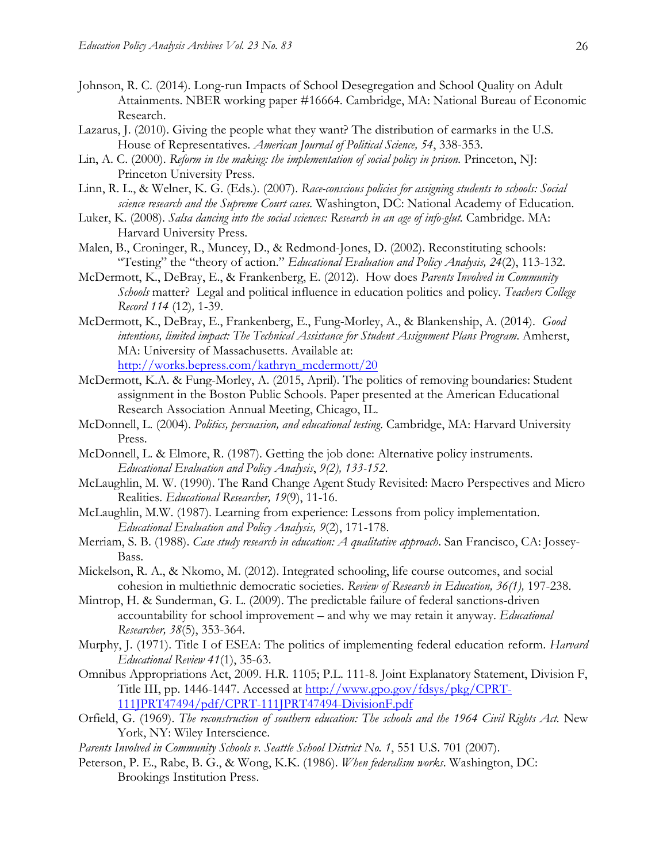- Johnson, R. C. (2014). Long-run Impacts of School Desegregation and School Quality on Adult Attainments. NBER working paper #16664. Cambridge, MA: National Bureau of Economic Research.
- Lazarus, J. (2010). Giving the people what they want? The distribution of earmarks in the U.S. House of Representatives. *American Journal of Political Science, 54*, 338-353.
- Lin, A. C. (2000). *Reform in the making: the implementation of social policy in prison*. Princeton, NJ: Princeton University Press.
- Linn, R. L., & Welner, K. G. (Eds.). (2007). *Race-conscious policies for assigning students to schools: Social science research and the Supreme Court cases.* Washington, DC: National Academy of Education.
- Luker, K. (2008). *Salsa dancing into the social sciences: Research in an age of info-glut.* Cambridge. MA: Harvard University Press.
- Malen, B., Croninger, R., Muncey, D., & Redmond-Jones, D. (2002). Reconstituting schools: "Testing" the "theory of action." *Educational Evaluation and Policy Analysis, 24*(2), 113-132.
- McDermott, K., DeBray, E., & Frankenberg, E. (2012). How does *Parents Involved in Community Schools* matter? Legal and political influence in education politics and policy. *Teachers College Record 114* (12)*,* 1-39.
- McDermott, K., DeBray, E., Frankenberg, E., Fung-Morley, A., & Blankenship, A. (2014). *Good intentions, limited impact: The Technical Assistance for Student Assignment Plans Program*. Amherst, MA: University of Massachusetts. Available at: http://works.bepress.com/kathryn\_mcdermott/20
- McDermott, K.A. & Fung-Morley, A. (2015, April). The politics of removing boundaries: Student assignment in the Boston Public Schools. Paper presented at the American Educational Research Association Annual Meeting, Chicago, IL.
- McDonnell, L. (2004). *Politics, persuasion, and educational testing*. Cambridge, MA: Harvard University Press.
- McDonnell, L. & Elmore, R. (1987). Getting the job done: Alternative policy instruments. *Educational Evaluation and Policy Analysis*, *9(2), 133-152*.
- McLaughlin, M. W. (1990). The Rand Change Agent Study Revisited: Macro Perspectives and Micro Realities. *Educational Researcher, 19*(9), 11-16.
- McLaughlin, M.W. (1987). Learning from experience: Lessons from policy implementation. *Educational Evaluation and Policy Analysis, 9*(2), 171-178.
- Merriam, S. B. (1988). *Case study research in education: A qualitative approach*. San Francisco, CA: Jossey-Bass.
- Mickelson, R. A., & Nkomo, M. (2012). Integrated schooling, life course outcomes, and social cohesion in multiethnic democratic societies. *Review of Research in Education, 36(1),* 197-238.
- Mintrop, H. & Sunderman, G. L. (2009). The predictable failure of federal sanctions-driven accountability for school improvement – and why we may retain it anyway. *Educational Researcher, 38*(5), 353-364.
- Murphy, J. (1971). Title I of ESEA: The politics of implementing federal education reform. *Harvard Educational Review 41*(1), 35-63.
- Omnibus Appropriations Act, 2009. H.R. 1105; P.L. 111-8. Joint Explanatory Statement, Division F, Title III, pp. 1446-1447. Accessed at http://www.gpo.gov/fdsys/pkg/CPRT-111JPRT47494/pdf/CPRT-111JPRT47494-DivisionF.pdf
- Orfield, G. (1969). *The reconstruction of southern education: The schools and the 1964 Civil Rights Act.* New York, NY: Wiley Interscience.
- *Parents Involved in Community Schools v. Seattle School District No. 1*, 551 U.S. 701 (2007).
- Peterson, P. E., Rabe, B. G., & Wong, K.K. (1986). *When federalism works*. Washington, DC: Brookings Institution Press.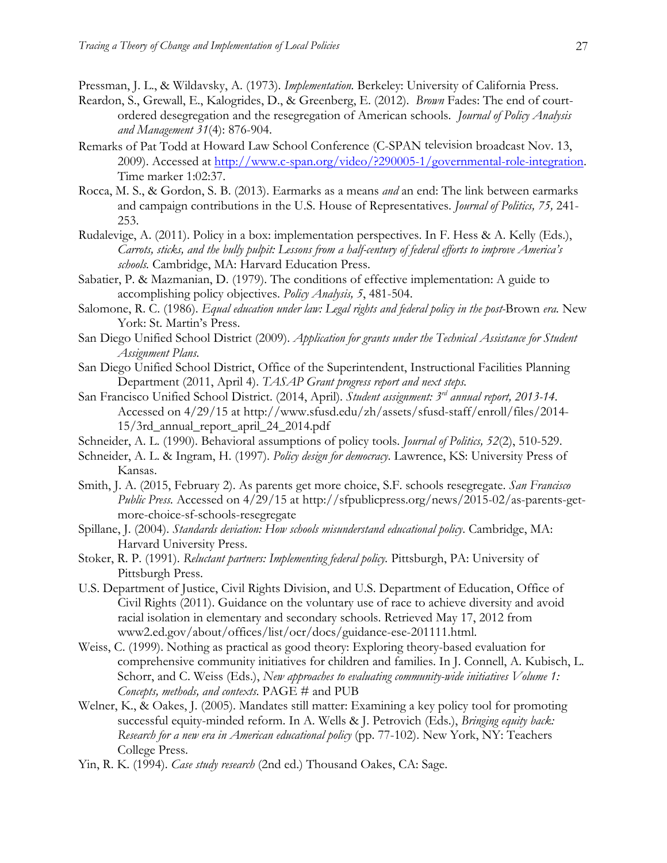Pressman, J. L., & Wildavsky, A. (1973). *Implementation.* Berkeley: University of California Press.

- Reardon, S., Grewall, E., Kalogrides, D., & Greenberg, E. (2012). *Brown* Fades: The end of courtordered desegregation and the resegregation of American schools. *Journal of Policy Analysis and Management 31*(4): 876-904.
- Remarks of Pat Todd at Howard Law School Conference (C-SPAN television broadcast Nov. 13, 2009). Accessed at http://www.c-span.org/video/?290005-1/governmental-role-integration. Time marker 1:02:37.
- Rocca, M. S., & Gordon, S. B. (2013). Earmarks as a means *and* an end: The link between earmarks and campaign contributions in the U.S. House of Representatives. *Journal of Politics, 75,* 241- 253.
- Rudalevige, A. (2011). Policy in a box: implementation perspectives. In F. Hess & A. Kelly (Eds.), *Carrots, sticks, and the bully pulpit: Lessons from a half-century of federal efforts to improve America's schools.* Cambridge, MA: Harvard Education Press.
- Sabatier, P. & Mazmanian, D. (1979). The conditions of effective implementation: A guide to accomplishing policy objectives. *Policy Analysis, 5*, 481-504.
- Salomone, R. C. (1986). *Equal education under law: Legal rights and federal policy in the post-*Brown *era.* New York: St. Martin's Press.
- San Diego Unified School District (2009). *Application for grants under the Technical Assistance for Student Assignment Plans.*
- San Diego Unified School District, Office of the Superintendent, Instructional Facilities Planning Department (2011, April 4). *TASAP Grant progress report and next steps.*
- San Francisco Unified School District. (2014, April). *Student assignment: 3rd annual report, 2013-14.*  Accessed on 4/29/15 at http://www.sfusd.edu/zh/assets/sfusd-staff/enroll/files/2014- 15/3rd\_annual\_report\_april\_24\_2014.pdf
- Schneider, A. L. (1990). Behavioral assumptions of policy tools. *Journal of Politics, 52*(2), 510-529.
- Schneider, A. L. & Ingram, H. (1997). *Policy design for democracy*. Lawrence, KS: University Press of Kansas.
- Smith, J. A. (2015, February 2). As parents get more choice, S.F. schools resegregate. *San Francisco Public Press.* Accessed on 4/29/15 at http://sfpublicpress.org/news/2015-02/as-parents-getmore-choice-sf-schools-resegregate
- Spillane, J. (2004). *Standards deviation: How schools misunderstand educational policy*. Cambridge, MA: Harvard University Press.
- Stoker, R. P. (1991). *Reluctant partners: Implementing federal policy.* Pittsburgh, PA: University of Pittsburgh Press.
- U.S. Department of Justice, Civil Rights Division, and U.S. Department of Education, Office of Civil Rights (2011). Guidance on the voluntary use of race to achieve diversity and avoid racial isolation in elementary and secondary schools. Retrieved May 17, 2012 from www2.ed.gov/about/offices/list/ocr/docs/guidance-ese-201111.html.
- Weiss, C. (1999). Nothing as practical as good theory: Exploring theory-based evaluation for comprehensive community initiatives for children and families. In J. Connell, A. Kubisch, L. Schorr, and C. Weiss (Eds.), *New approaches to evaluating community-wide initiatives Volume 1: Concepts, methods, and contexts*. PAGE # and PUB
- Welner, K., & Oakes, J. (2005). Mandates still matter: Examining a key policy tool for promoting successful equity-minded reform. In A. Wells & J. Petrovich (Eds.), *Bringing equity back: Research for a new era in American educational policy* (pp. 77-102). New York, NY: Teachers College Press.
- Yin, R. K. (1994). *Case study research* (2nd ed.) Thousand Oakes, CA: Sage.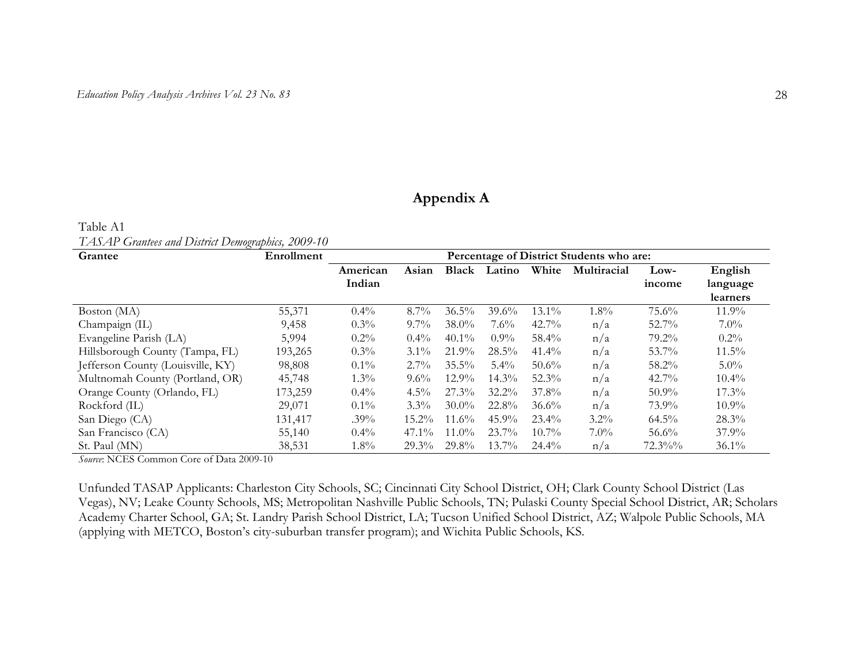## **Appendix A**

Table A1 *TASAP Grantees and District Demographics, 2009-10*

| Grantee                           | Enrollment | Percentage of District Students who are: |          |              |          |          |             |                            |                     |
|-----------------------------------|------------|------------------------------------------|----------|--------------|----------|----------|-------------|----------------------------|---------------------|
|                                   |            | American<br>Indian                       | Asian    | <b>Black</b> | Latino   | White    | Multiracial | $_{\text{Low-}}$<br>income | English<br>language |
|                                   |            |                                          |          |              |          |          |             |                            | learners            |
| Boston (MA)                       | 55,371     | $0.4\%$                                  | $8.7\%$  | 36.5%        | $39.6\%$ | $13.1\%$ | $1.8\%$     | 75.6%                      | 11.9%               |
| Champaign (IL)                    | 9,458      | $0.3\%$                                  | $9.7\%$  | $38.0\%$     | $7.6\%$  | $42.7\%$ | n/a         | 52.7%                      | $7.0\%$             |
| Evangeline Parish (LA)            | 5,994      | $0.2\%$                                  | $0.4\%$  | $40.1\%$     | $0.9\%$  | $58.4\%$ | n/a         | 79.2%                      | $0.2\%$             |
| Hillsborough County (Tampa, FL)   | 193,265    | $0.3\%$                                  | $3.1\%$  | 21.9%        | $28.5\%$ | $41.4\%$ | n/a         | 53.7%                      | $11.5\%$            |
| Jefferson County (Louisville, KY) | 98,808     | $0.1\%$                                  | $2.7\%$  | $35.5\%$     | $5.4\%$  | $50.6\%$ | n/a         | 58.2%                      | $5.0\%$             |
| Multnomah County (Portland, OR)   | 45,748     | $1.3\%$                                  | $9.6\%$  | $12.9\%$     | $14.3\%$ | $52.3\%$ | n/a         | 42.7%                      | $10.4\%$            |
| Orange County (Orlando, FL)       | 173,259    | $0.4\%$                                  | $4.5\%$  | $27.3\%$     | $32.2\%$ | $37.8\%$ | n/a         | $50.9\%$                   | $17.3\%$            |
| Rockford (IL)                     | 29,071     | $0.1\%$                                  | $3.3\%$  | $30.0\%$     | 22.8%    | $36.6\%$ | n/a         | 73.9%                      | $10.9\%$            |
| San Diego (CA)                    | 131,417    | $.39\%$                                  | $15.2\%$ | 11.6%        | $45.9\%$ | $23.4\%$ | $3.2\%$     | $64.5\%$                   | $28.3\%$            |
| San Francisco (CA)                | 55,140     | $0.4\%$                                  | $47.1\%$ | $11.0\%$     | $23.7\%$ | $10.7\%$ | $7.0\%$     | $56.6\%$                   | $37.9\%$            |
| St. Paul (MN)                     | 38,531     | $1.8\%$                                  | $29.3\%$ | $29.8\%$     | 13.7%    | $24.4\%$ | n/a         | $72.3\%%$                  | $36.1\%$            |

*Source*: NCES Common Core of Data 2009-10

Unfunded TASAP Applicants: Charleston City Schools, SC; Cincinnati City School District, OH; Clark County School District (Las Vegas), NV; Leake County Schools, MS; Metropolitan Nashville Public Schools, TN; Pulaski County Special School District, AR; Scholars Academy Charter School, GA; St. Landry Parish School District, LA; Tucson Unified School District, AZ; Walpole Public Schools, MA (applying with METCO, Boston's city-suburban transfer program); and Wichita Public Schools, KS.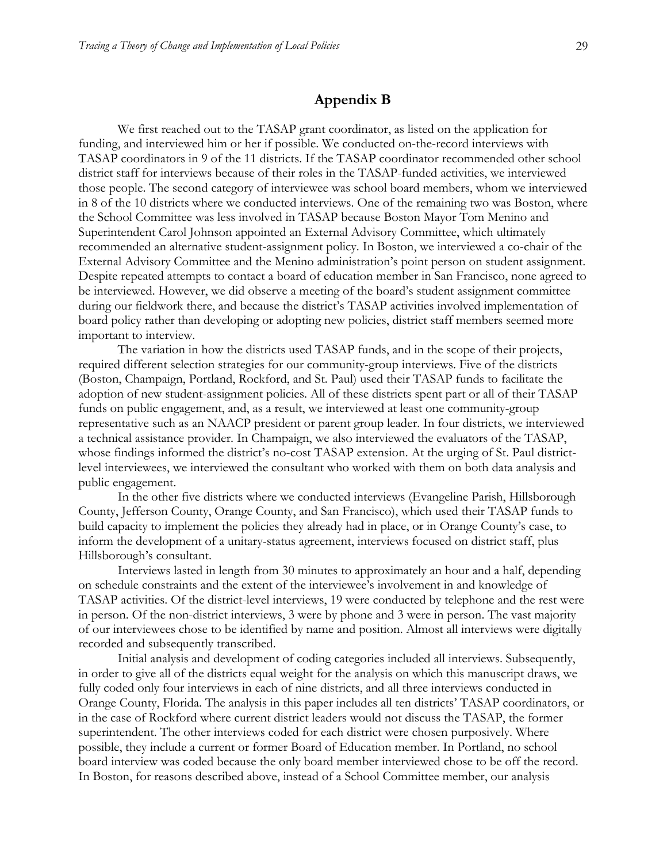## **Appendix B**

We first reached out to the TASAP grant coordinator, as listed on the application for funding, and interviewed him or her if possible. We conducted on-the-record interviews with TASAP coordinators in 9 of the 11 districts. If the TASAP coordinator recommended other school district staff for interviews because of their roles in the TASAP-funded activities, we interviewed those people. The second category of interviewee was school board members, whom we interviewed in 8 of the 10 districts where we conducted interviews. One of the remaining two was Boston, where the School Committee was less involved in TASAP because Boston Mayor Tom Menino and Superintendent Carol Johnson appointed an External Advisory Committee, which ultimately recommended an alternative student-assignment policy. In Boston, we interviewed a co-chair of the External Advisory Committee and the Menino administration's point person on student assignment. Despite repeated attempts to contact a board of education member in San Francisco, none agreed to be interviewed. However, we did observe a meeting of the board's student assignment committee during our fieldwork there, and because the district's TASAP activities involved implementation of board policy rather than developing or adopting new policies, district staff members seemed more important to interview.

The variation in how the districts used TASAP funds, and in the scope of their projects, required different selection strategies for our community-group interviews. Five of the districts (Boston, Champaign, Portland, Rockford, and St. Paul) used their TASAP funds to facilitate the adoption of new student-assignment policies. All of these districts spent part or all of their TASAP funds on public engagement, and, as a result, we interviewed at least one community-group representative such as an NAACP president or parent group leader. In four districts, we interviewed a technical assistance provider. In Champaign, we also interviewed the evaluators of the TASAP, whose findings informed the district's no-cost TASAP extension. At the urging of St. Paul districtlevel interviewees, we interviewed the consultant who worked with them on both data analysis and public engagement.

In the other five districts where we conducted interviews (Evangeline Parish, Hillsborough County, Jefferson County, Orange County, and San Francisco), which used their TASAP funds to build capacity to implement the policies they already had in place, or in Orange County's case, to inform the development of a unitary-status agreement, interviews focused on district staff, plus Hillsborough's consultant.

Interviews lasted in length from 30 minutes to approximately an hour and a half, depending on schedule constraints and the extent of the interviewee's involvement in and knowledge of TASAP activities. Of the district-level interviews, 19 were conducted by telephone and the rest were in person. Of the non-district interviews, 3 were by phone and 3 were in person. The vast majority of our interviewees chose to be identified by name and position. Almost all interviews were digitally recorded and subsequently transcribed.

Initial analysis and development of coding categories included all interviews. Subsequently, in order to give all of the districts equal weight for the analysis on which this manuscript draws, we fully coded only four interviews in each of nine districts, and all three interviews conducted in Orange County, Florida. The analysis in this paper includes all ten districts' TASAP coordinators, or in the case of Rockford where current district leaders would not discuss the TASAP, the former superintendent. The other interviews coded for each district were chosen purposively. Where possible, they include a current or former Board of Education member. In Portland, no school board interview was coded because the only board member interviewed chose to be off the record. In Boston, for reasons described above, instead of a School Committee member, our analysis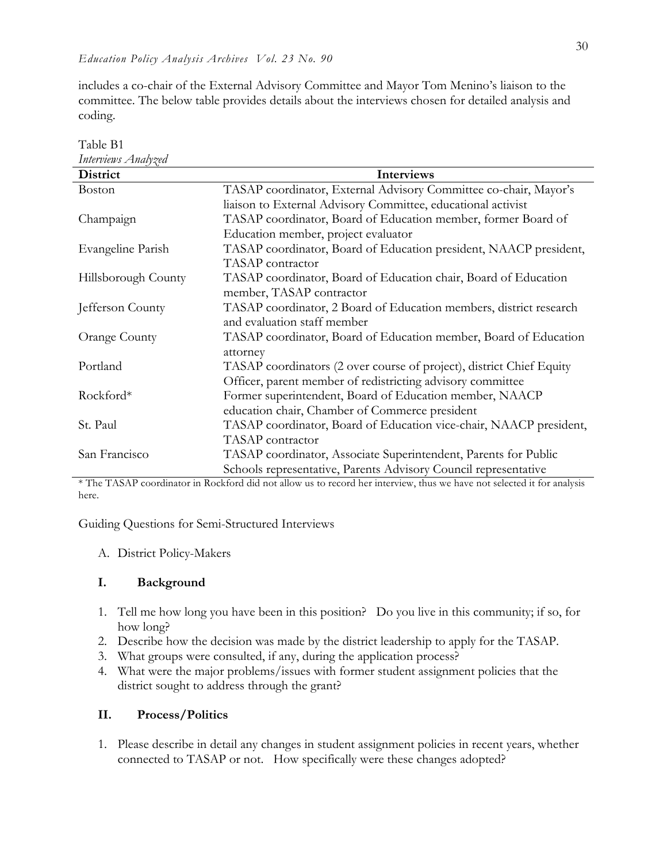Table B1

includes a co-chair of the External Advisory Committee and Mayor Tom Menino's liaison to the committee. The below table provides details about the interviews chosen for detailed analysis and coding.

| Interviews Analyzed                            |                                                                                                                                     |
|------------------------------------------------|-------------------------------------------------------------------------------------------------------------------------------------|
| <b>District</b>                                | Interviews                                                                                                                          |
| <b>Boston</b>                                  | TASAP coordinator, External Advisory Committee co-chair, Mayor's                                                                    |
|                                                | liaison to External Advisory Committee, educational activist                                                                        |
| Champaign                                      | TASAP coordinator, Board of Education member, former Board of                                                                       |
|                                                | Education member, project evaluator                                                                                                 |
| Evangeline Parish                              | TASAP coordinator, Board of Education president, NAACP president,                                                                   |
|                                                | TASAP contractor                                                                                                                    |
| Hillsborough County                            | TASAP coordinator, Board of Education chair, Board of Education                                                                     |
|                                                | member, TASAP contractor                                                                                                            |
| Jefferson County                               | TASAP coordinator, 2 Board of Education members, district research                                                                  |
|                                                | and evaluation staff member                                                                                                         |
| Orange County                                  | TASAP coordinator, Board of Education member, Board of Education                                                                    |
|                                                | attorney                                                                                                                            |
| Portland                                       | TASAP coordinators (2 over course of project), district Chief Equity                                                                |
|                                                | Officer, parent member of redistricting advisory committee                                                                          |
| Rockford*                                      | Former superintendent, Board of Education member, NAACP                                                                             |
|                                                | education chair, Chamber of Commerce president                                                                                      |
| St. Paul                                       | TASAP coordinator, Board of Education vice-chair, NAACP president,                                                                  |
|                                                | TASAP contractor                                                                                                                    |
| San Francisco                                  | TASAP coordinator, Associate Superintendent, Parents for Public                                                                     |
|                                                | Schools representative, Parents Advisory Council representative                                                                     |
| $\star$ T' $\sim$ T' $\star$ C $\star$ D<br>11 | $\mathbf{u}$ and $\mathbf{u}$ and $\mathbf{u}$ and $\mathbf{u}$ and $\mathbf{u}$ and $\mathbf{u}$ and $\mathbf{u}$ and $\mathbf{u}$ |

\* The TASAP coordinator in Rockford did not allow us to record her interview, thus we have not selected it for analysis here.

Guiding Questions for Semi-Structured Interviews

#### A. District Policy-Makers

#### **I. Background**

- 1. Tell me how long you have been in this position? Do you live in this community; if so, for how long?
- 2. Describe how the decision was made by the district leadership to apply for the TASAP.
- 3. What groups were consulted, if any, during the application process?
- 4. What were the major problems/issues with former student assignment policies that the district sought to address through the grant?

#### **II. Process/Politics**

1. Please describe in detail any changes in student assignment policies in recent years, whether connected to TASAP or not. How specifically were these changes adopted?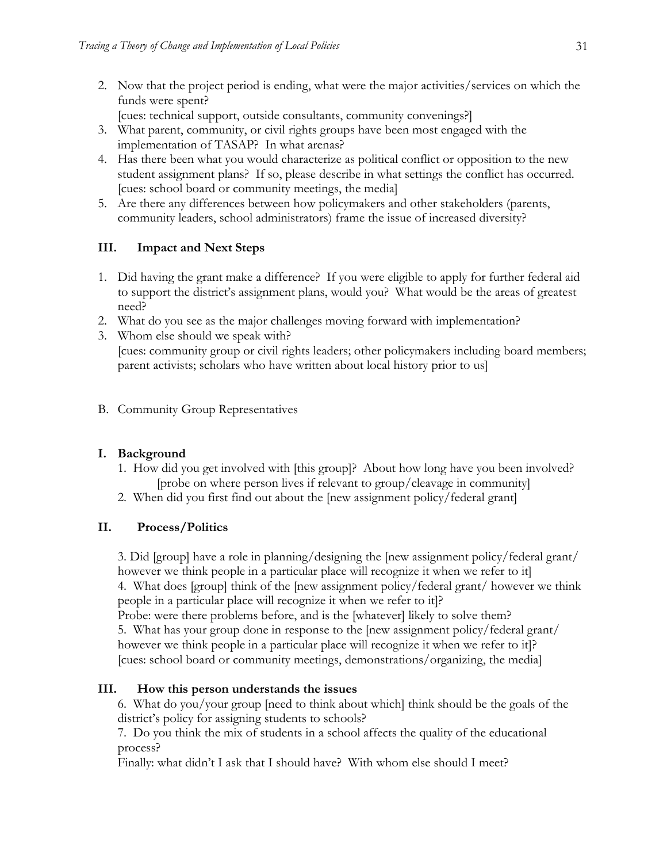- 2. Now that the project period is ending, what were the major activities/services on which the funds were spent?
	- [cues: technical support, outside consultants, community convenings?]
- 3. What parent, community, or civil rights groups have been most engaged with the implementation of TASAP? In what arenas?
- 4. Has there been what you would characterize as political conflict or opposition to the new student assignment plans? If so, please describe in what settings the conflict has occurred. [cues: school board or community meetings, the media]
- 5. Are there any differences between how policymakers and other stakeholders (parents, community leaders, school administrators) frame the issue of increased diversity?

## **III. Impact and Next Steps**

- 1. Did having the grant make a difference? If you were eligible to apply for further federal aid to support the district's assignment plans, would you? What would be the areas of greatest need?
- 2. What do you see as the major challenges moving forward with implementation?
- 3. Whom else should we speak with? [cues: community group or civil rights leaders; other policymakers including board members; parent activists; scholars who have written about local history prior to us]
- B. Community Group Representatives

## **I. Background**

- 1. How did you get involved with [this group]? About how long have you been involved? [probe on where person lives if relevant to group/cleavage in community]
- 2. When did you first find out about the [new assignment policy/federal grant]

## **II. Process/Politics**

3. Did [group] have a role in planning/designing the [new assignment policy/federal grant/ however we think people in a particular place will recognize it when we refer to it] 4. What does [group] think of the [new assignment policy/federal grant/ however we think people in a particular place will recognize it when we refer to it]?

Probe: were there problems before, and is the [whatever] likely to solve them? 5. What has your group done in response to the [new assignment policy/federal grant/ however we think people in a particular place will recognize it when we refer to it]?

[cues: school board or community meetings, demonstrations/organizing, the media]

## **III. How this person understands the issues**

6. What do you/your group [need to think about which] think should be the goals of the district's policy for assigning students to schools?

7. Do you think the mix of students in a school affects the quality of the educational process?

Finally: what didn't I ask that I should have? With whom else should I meet?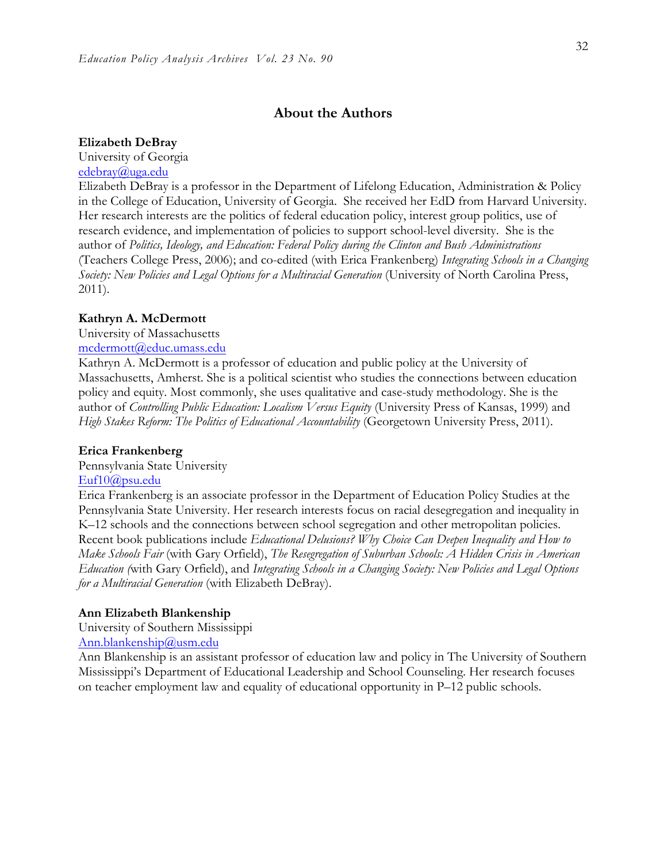## **About the Authors**

#### **Elizabeth DeBray**

University of Georgia edebray@uga.edu

Elizabeth DeBray is a professor in the Department of Lifelong Education, Administration & Policy in the College of Education, University of Georgia. She received her EdD from Harvard University. Her research interests are the politics of federal education policy, interest group politics, use of research evidence, and implementation of policies to support school-level diversity. She is the author of *Politics, Ideology, and Education: Federal Policy during the Clinton and Bush Administrations* (Teachers College Press, 2006); and co-edited (with Erica Frankenberg) *Integrating Schools in a Changing Society: New Policies and Legal Options for a Multiracial Generation* (University of North Carolina Press, 2011).

#### **Kathryn A. McDermott**

University of Massachusetts mcdermott@educ.umass.edu

Kathryn A. McDermott is a professor of education and public policy at the University of Massachusetts, Amherst. She is a political scientist who studies the connections between education policy and equity. Most commonly, she uses qualitative and case-study methodology. She is the author of *Controlling Public Education: Localism Versus Equity* (University Press of Kansas, 1999) and *High Stakes Reform: The Politics of Educational Accountability* (Georgetown University Press, 2011).

#### **Erica Frankenberg**

Pennsylvania State University

## Euf10@psu.edu

Erica Frankenberg is an associate professor in the Department of Education Policy Studies at the Pennsylvania State University. Her research interests focus on racial desegregation and inequality in K–12 schools and the connections between school segregation and other metropolitan policies. Recent book publications include *Educational Delusions? Why Choice Can Deepen Inequality and How to Make Schools Fair* (with Gary Orfield), *The Resegregation of Suburban Schools: A Hidden Crisis in American Education (*with Gary Orfield), and *Integrating Schools in a Changing Society: New Policies and Legal Options for a Multiracial Generation* (with Elizabeth DeBray).

#### **Ann Elizabeth Blankenship**

University of Southern Mississippi Ann.blankenship@usm.edu

Ann Blankenship is an assistant professor of education law and policy in The University of Southern Mississippi's Department of Educational Leadership and School Counseling. Her research focuses on teacher employment law and equality of educational opportunity in P–12 public schools.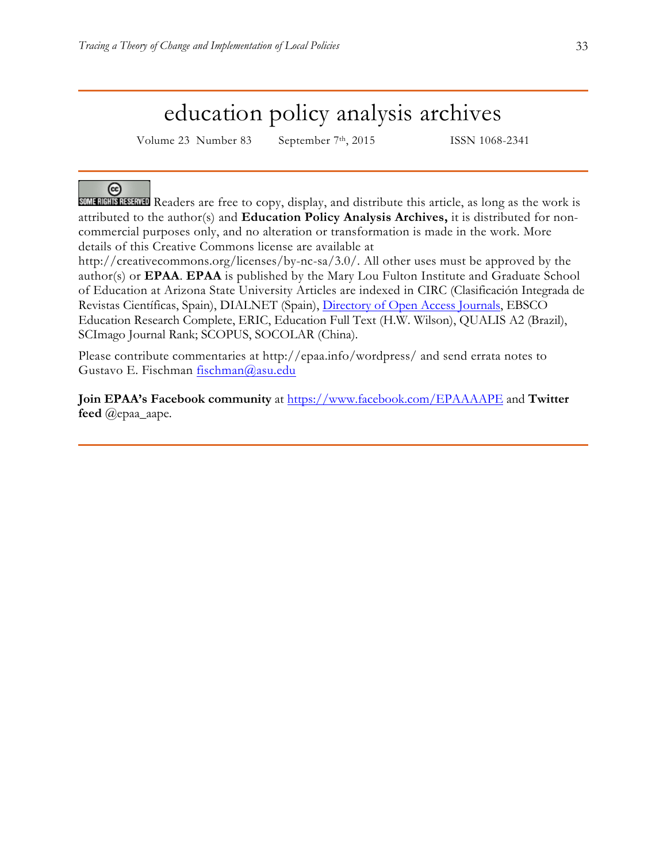## education policy analysis archives

Volume 23 Number 83 September 7<sup>th</sup>, 2015 ISSN 1068-2341

☺ SOME RIGHTS RESERVED Readers are free to copy, display, and distribute this article, as long as the work is attributed to the author(s) and **Education Policy Analysis Archives,** it is distributed for noncommercial purposes only, and no alteration or transformation is made in the work. More details of this Creative Commons license are available at

http://creativecommons.org/licenses/by-nc-sa/3.0/. All other uses must be approved by the author(s) or **EPAA**. **EPAA** is published by the Mary Lou Fulton Institute and Graduate School of Education at Arizona State University Articles are indexed in CIRC (Clasificación Integrada de Revistas Científicas, Spain), DIALNET (Spain), Directory of Open Access Journals, EBSCO Education Research Complete, ERIC, Education Full Text (H.W. Wilson), QUALIS A2 (Brazil), SCImago Journal Rank; SCOPUS, SOCOLAR (China).

Please contribute commentaries at http://epaa.info/wordpress/ and send errata notes to Gustavo E. Fischman fischman@asu.edu

**Join EPAA's Facebook community** at https://www.facebook.com/EPAAAAPE and **Twitter feed** @epaa\_aape.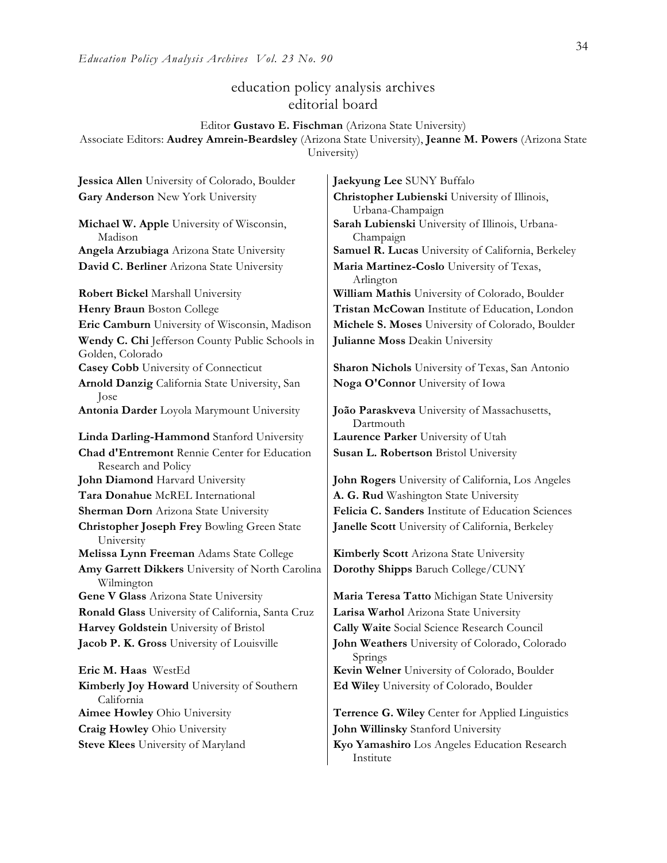## education policy analysis archives editorial board

#### Editor **Gustavo E. Fischman** (Arizona State University) Associate Editors: **Audrey Amrein-Beardsley** (Arizona State University), **Jeanne M. Powers** (Arizona State University)

**Michael W. Apple** University of Wisconsin, Madison **David C. Berliner** Arizona State University **Maria Martinez-Coslo** University of Texas, **Robert Bickel** Marshall University **William Mathis** University of Colorado, Boulder **Wendy C. Chi** Jefferson County Public Schools in Golden, Colorado **Casey Cobb** University of Connecticut **Sharon Nichols** University of Texas, San Antonio **Arnold Danzig** California State University, San Jose **Antonia Darder** Loyola Marymount University **João Paraskveva** University of Massachusetts, **Linda Darling-Hammond** Stanford University **Laurence Parker** University of Utah **Chad d'Entremont** Rennie Center for Education Research and Policy **John Diamond** Harvard University **John Rogers** University of California, Los Angeles **Tara Donahue** McREL International **A. G. Rud** Washington State University **Christopher Joseph Frey** Bowling Green State University **Melissa Lynn Freeman** Adams State College **Kimberly Scott** Arizona State University **Amy Garrett Dikkers** University of North Carolina Wilmington **Gene V Glass** Arizona State University **Maria Teresa Tatto** Michigan State University **Ronald Glass** University of California, Santa Cruz **Larisa Warhol** Arizona State University **Harvey Goldstein** University of Bristol **Cally Waite** Social Science Research Council **Eric M. Haas** WestEd **Kevin Welner** University of Colorado, Boulder **Kimberly Joy Howard** University of Southern California **Aimee Howley** Ohio University **Terrence G. Wiley** Center for Applied Linguistics

**Jessica Allen** University of Colorado, Boulder **Jaekyung Lee** SUNY Buffalo **Gary Anderson** New York University **Christopher Lubienski** University of Illinois, Urbana-Champaign **Sarah Lubienski** University of Illinois, Urbana-Champaign **Angela Arzubiaga** Arizona State University **Samuel R. Lucas** University of California, Berkeley Arlington **Henry Braun** Boston College **Tristan McCowan** Institute of Education, London **Eric Camburn** University of Wisconsin, Madison **Michele S. Moses** University of Colorado, Boulder **Julianne Moss** Deakin University

**Noga O'Connor** University of Iowa

Dartmouth **Susan L. Robertson** Bristol University

**Sherman Dorn** Arizona State University **Felicia C. Sanders** Institute of Education Sciences **Janelle Scott** University of California, Berkeley

**Dorothy Shipps** Baruch College/CUNY

**Jacob P. K. Gross** University of Louisville **John Weathers** University of Colorado, Colorado Springs **Ed Wiley** University of Colorado, Boulder

**Craig Howley** Ohio University **John Willinsky** Stanford University

**Steve Klees** University of Maryland **Kyo Yamashiro** Los Angeles Education Research Institute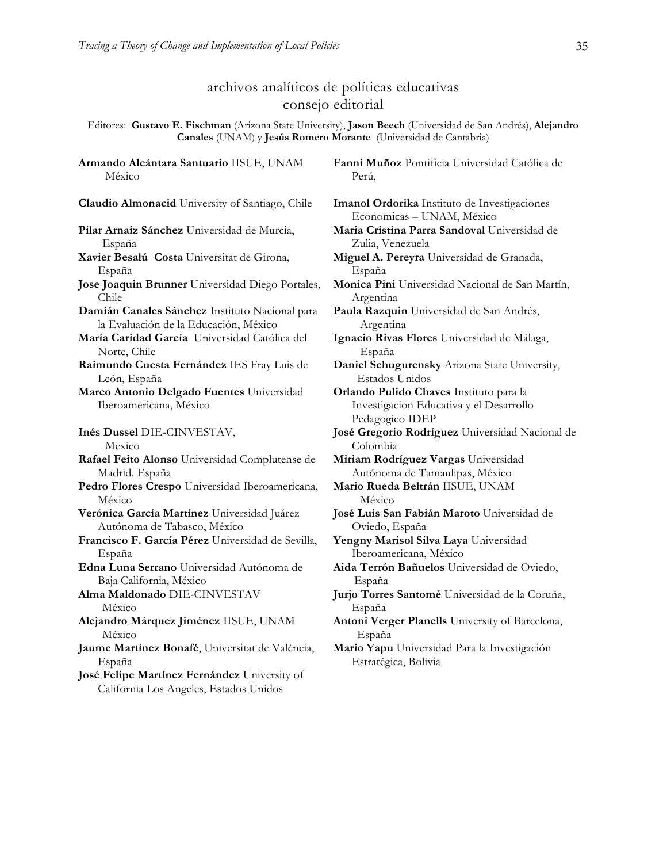## archivos analíticos de políticas educativas consejo editorial

Editores: **Gustavo E. Fischman** (Arizona State University), **Jason Beech** (Universidad de San Andrés), **Alejandro Canales** (UNAM) y **Jesús Romero Morante** (Universidad de Cantabria)

**Armando Alcántara Santuario** IISUE, UNAM México

**Claudio Almonacid** University of Santiago, Chile **Imanol Ordorika** Instituto de Investigaciones

**Pilar Arnaiz Sánchez** Universidad de Murcia, España

**Xavier Besalú Costa** Universitat de Girona, España

**Jose Joaquin Brunner** Universidad Diego Portales, Chile

**Damián Canales Sánchez** Instituto Nacional para la Evaluación de la Educación, México

**María Caridad García** Universidad Católica del Norte, Chile

**Raimundo Cuesta Fernández** IES Fray Luis de León, España

**Marco Antonio Delgado Fuentes** Universidad Iberoamericana, México

**Inés Dussel** DIE**-**CINVESTAV, Mexico

**Rafael Feito Alonso** Universidad Complutense de Madrid. España

**Pedro Flores Crespo** Universidad Iberoamericana, México

**Verónica García Martínez** Universidad Juárez Autónoma de Tabasco, México

**Francisco F. García Pérez** Universidad de Sevilla, España

**Edna Luna Serrano** Universidad Autónoma de Baja California, México

**Alma Maldonado** DIE-CINVESTAV México

**Alejandro Márquez Jiménez** IISUE, UNAM México

**Jaume Martínez Bonafé**, Universitat de València, España

**José Felipe Martínez Fernández** University of California Los Angeles, Estados Unidos

**Fanni Muñoz** Pontificia Universidad Católica de Perú,

Economicas – UNAM, México **Maria Cristina Parra Sandoval** Universidad de

Zulia, Venezuela

**Miguel A. Pereyra** Universidad de Granada, España

**Monica Pini** Universidad Nacional de San Martín, Argentina

**Paula Razquin** Universidad de San Andrés, Argentina

**Ignacio Rivas Flores** Universidad de Málaga, España

**Daniel Schugurensky** Arizona State University, Estados Unidos

**Orlando Pulido Chaves** Instituto para la Investigacion Educativa y el Desarrollo Pedagogico IDEP

**José Gregorio Rodríguez** Universidad Nacional de Colombia

**Miriam Rodríguez Vargas** Universidad Autónoma de Tamaulipas, México

**Mario Rueda Beltrán** IISUE, UNAM México

**José Luis San Fabián Maroto** Universidad de Oviedo, España

**Yengny Marisol Silva Laya** Universidad Iberoamericana, México

**Aida Terrón Bañuelos** Universidad de Oviedo, España

**Jurjo Torres Santomé** Universidad de la Coruña, España

**Antoni Verger Planells** University of Barcelona, España

**Mario Yapu** Universidad Para la Investigación Estratégica, Bolivia